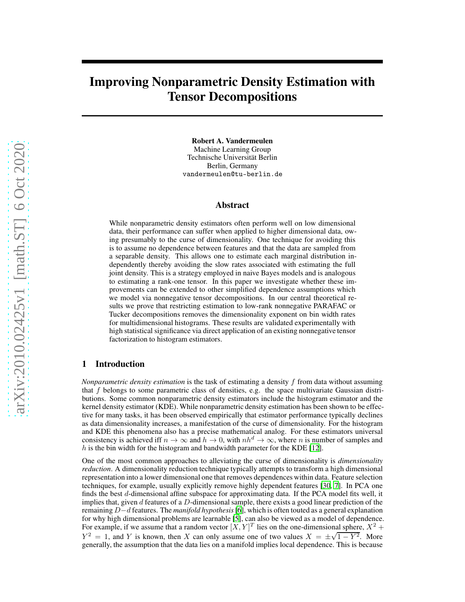# Improving Nonparametric Density Estimation with Tensor Decompositions

Robert A. Vandermeulen Machine Learning Group Technische Universität Berlin Berlin, Germany vandermeulen@tu-berlin.de

# Abstract

While nonparametric density estimators often perform well on low dimensional data, their performance can suffer when applied to higher dimensional data, owing presumably to the curse of dimensionality. One technique for avoiding this is to assume no dependence between features and that the data are sampled from a separable density. This allows one to estimate each marginal distribution independently thereby avoiding the slow rates associated with estimating the full joint density. This is a strategy employed in naive Bayes models and is analogous to estimating a rank-one tensor. In this paper we investigate whether these improvements can be extended to other simplified dependence assumptions which we model via nonnegative tensor decompositions. In our central theoretical results we prove that restricting estimation to low-rank nonnegative PARAFAC or Tucker decompositions removes the dimensionality exponent on bin width rates for multidimensional histograms. These results are validated experimentally with high statistical significance via direct application of an existing nonnegative tensor factorization to histogram estimators.

# <span id="page-0-0"></span>1 Introduction

*Nonparametric density estimation* is the task of estimating a density f from data without assuming that  $f$  belongs to some parametric class of densities, e.g. the space multivariate Gaussian distributions. Some common nonparametric density estimators include the histogram estimator and the kernel density estimator (KDE). While nonparametric density estimation has been shown to be effective for many tasks, it has been observed empirically that estimator performance typically declines as data dimensionality increases, a manifestation of the curse of dimensionality. For the histogram and KDE this phenomena also has a precise mathematical analog. For these estimators universal consistency is achieved iff  $n \to \infty$  and  $h \to 0$ , with  $nh^d \to \infty$ , where n is number of samples and h is the bin width for the histogram and bandwidth parameter for the KDE  $[12]$ .

One of the most common approaches to alleviating the curse of dimensionality is *dimensionality reduction*. A dimensionality reduction technique typically attempts to transform a high dimensional representation into a lower dimensional one that removes dependences within data. Feature selection techniques, for example, usually explicitly remove highly dependent features [\[30](#page-11-0), [7\]](#page-10-1). In PCA one finds the best d-dimensional affine subspace for approximating data. If the PCA model fits well, it implies that, given  $d$  features of a  $D$ -dimensional sample, there exists a good linear prediction of the remaining D−d features. The *manifold hypothesis*[\[6\]](#page-10-2), which is often touted as a general explanation for why high dimensional problems are learnable [\[5\]](#page-10-3), can also be viewed as a model of dependence. For example, if we assume that a random vector  $[X, Y]^T$  lies on the one-dimensional sphere,  $X^2$  +  $Y^2 = 1$ , and Y is known, then X can only assume one of two values  $X = \pm \sqrt{1 - Y^2}$ . More generally, the assumption that the data lies on a manifold implies local dependence. This is because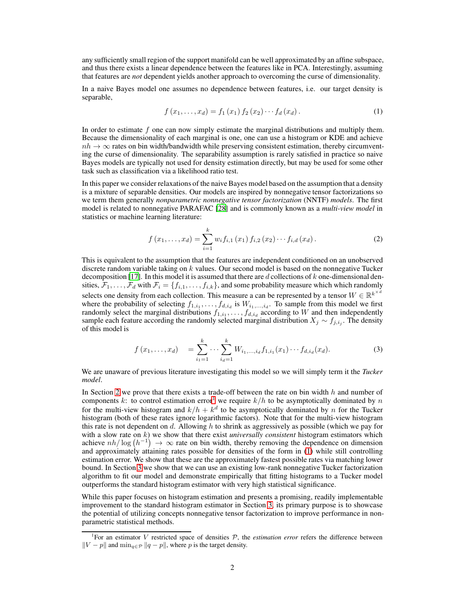any sufficiently small region of the support manifold can be well approximated by an affine subspace, and thus there exists a linear dependence between the features like in PCA. Interestingly, assuming that features are *not* dependent yields another approach to overcoming the curse of dimensionality.

In a naive Bayes model one assumes no dependence between features, i.e. our target density is separable,

<span id="page-1-1"></span>
$$
f(x_1,...,x_d) = f_1(x_1) f_2(x_2) \cdots f_d(x_d).
$$
 (1)

In order to estimate  $f$  one can now simply estimate the marginal distributions and multiply them. Because the dimensionality of each marginal is one, one can use a histogram or KDE and achieve  $nh \rightarrow \infty$  rates on bin width/bandwidth while preserving consistent estimation, thereby circumventing the curse of dimensionality. The separability assumption is rarely satisfied in practice so naive Bayes models are typically not used for density estimation directly, but may be used for some other task such as classification via a likelihood ratio test.

In this paper we consider relaxations of the naive Bayes model based on the assumption that a density is a mixture of separable densities. Our models are inspired by nonnegative tensor factorizations so we term them generally *nonparametric nonnegative tensor factorization* (NNTF) *models*. The first model is related to nonnegative PARAFAC [\[28](#page-11-1)] and is commonly known as a *multi-view model* in statistics or machine learning literature:

$$
f(x_1,...,x_d) = \sum_{i=1}^{k} w_i f_{i,1}(x_1) f_{i,2}(x_2) \cdots f_{i,d}(x_d).
$$
 (2)

This is equivalent to the assumption that the features are independent conditioned on an unobserved discrete random variable taking on  $k$  values. Our second model is based on the nonnegative Tucker decomposition [\[17\]](#page-11-2). In this model it is assumed that there are d collections of k one-dimensional densities,  $\mathcal{F}_1, \ldots, \mathcal{F}_d$  with  $\mathcal{F}_i = \{f_{i,1}, \ldots, f_{i,k}\}\$ , and some probability measure which which randomly selects one density from each collection. This measure a can be represented by a tensor  $W \in \mathbb{R}^{k^{\times d}}$ where the probability of selecting  $f_{1,i_1}, \ldots, f_{d,i_d}$  is  $W_{i_1,\ldots,i_d}$ . To sample from this model we first randomly select the marginal distributions  $f_{1,i_1}, \ldots, f_{d,i_d}$  according to W and then independently sample each feature according the randomly selected marginal distribution  $X_j \sim f_{j,i_j}$ . The density of this model is

<span id="page-1-2"></span>
$$
f(x_1, \ldots, x_d) = \sum_{i_1=1}^k \cdots \sum_{i_d=1}^k W_{i_1, \ldots, i_d} f_{1, i_1}(x_1) \cdots f_{d, i_d}(x_d).
$$
 (3)

We are unaware of previous literature investigating this model so we will simply term it the *Tucker model*.

In Section [2](#page-2-0) we prove that there exists a trade-off between the rate on bin width  $h$  and number of components k: to control estimation error<sup>[1](#page-1-0)</sup> we require  $k/h$  to be asymptotically dominated by n for the multi-view histogram and  $k/h + k^d$  to be asymptotically dominated by n for the Tucker histogram (both of these rates ignore logarithmic factors). Note that for the multi-view histogram this rate is not dependent on  $d$ . Allowing  $h$  to shrink as aggressively as possible (which we pay for with a slow rate on k) we show that there exist *universally consistent* histogram estimators which achieve  $nh/\log(h^{-1}) \rightarrow \infty$  rate on bin width, thereby removing the dependence on dimension and approximately attaining rates possible for densities of the form in [\(1\)](#page-1-1) while still controlling estimation error. We show that these are the approximately fastest possible rates via matching lower bound. In Section [3](#page-7-0) we show that we can use an existing low-rank nonnegative Tucker factorization algorithm to fit our model and demonstrate empirically that fitting histograms to a Tucker model outperforms the standard histogram estimator with very high statistical significance.

While this paper focuses on histogram estimation and presents a promising, readily implementable improvement to the standard histogram estimator in Section [3,](#page-7-0) its primary purpose is to showcase the potential of utilizing concepts nonnegative tensor factorization to improve performance in nonparametric statistical methods.

<span id="page-1-0"></span><sup>&</sup>lt;sup>1</sup>For an estimator V restricted space of densities  $P$ , the *estimation error* refers the difference between  $||V - p||$  and  $\min_{q \in \mathcal{P}} ||q - p||$ , where p is the target density.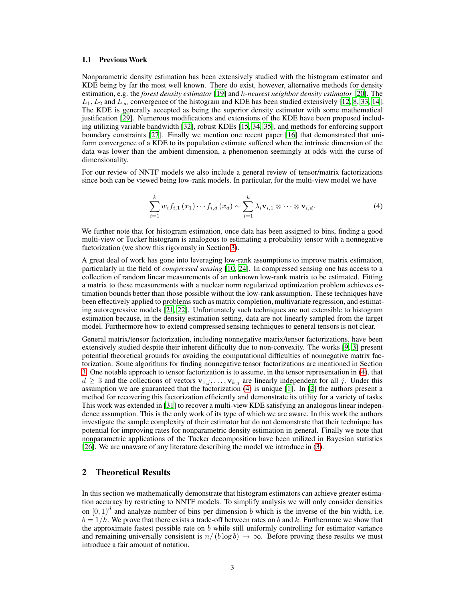#### 1.1 Previous Work

Nonparametric density estimation has been extensively studied with the histogram estimator and KDE being by far the most well known. There do exist, however, alternative methods for density estimation, e.g. the *forest density estimator* [\[19\]](#page-11-3) and k*-nearest neighbor density estimator* [\[20\]](#page-11-4). The  $L_1, L_2$  and  $L_{\infty}$  convergence of the histogram and KDE has been studied extensively [\[12](#page-10-0), [8](#page-10-4), [33](#page-12-0), [14\]](#page-10-5). The KDE is generally accepted as being the superior density estimator with some mathematical justification [\[29](#page-11-5)]. Numerous modifications and extensions of the KDE have been proposed including utilizing variable bandwidth [\[32\]](#page-11-6), robust KDEs [\[15](#page-10-6), [34](#page-12-1), [35\]](#page-12-2), and methods for enforcing support boundary constraints [\[27](#page-11-7)]. Finally we mention one recent paper [\[16\]](#page-10-7) that demonstrated that uniform convergence of a KDE to its population estimate suffered when the intrinsic dimension of the data was lower than the ambient dimension, a phenomenon seemingly at odds with the curse of dimensionality.

For our review of NNTF models we also include a general review of tensor/matrix factorizations since both can be viewed being low-rank models. In particular, for the multi-view model we have

<span id="page-2-1"></span>
$$
\sum_{i=1}^{k} w_i f_{i,1}(x_1) \cdots f_{i,d}(x_d) \sim \sum_{i=1}^{k} \lambda_i \mathbf{v}_{i,1} \otimes \cdots \otimes \mathbf{v}_{i,d}.
$$
 (4)

We further note that for histogram estimation, once data has been assigned to bins, finding a good multi-view or Tucker histogram is analogous to estimating a probability tensor with a nonnegative factorization (we show this rigorously in Section [3\)](#page-7-0).

A great deal of work has gone into leveraging low-rank assumptions to improve matrix estimation, particularly in the field of *compressed sensing* [\[10](#page-10-8), [24](#page-11-8)]. In compressed sensing one has access to a collection of random linear measurements of an unknown low-rank matrix to be estimated. Fitting a matrix to these measurements with a nuclear norm regularized optimization problem achieves estimation bounds better than those possible without the low-rank assumption. These techniques have been effectively applied to problems such as matrix completion, multivariate regression, and estimating autoregressive models [\[21,](#page-11-9) [22\]](#page-11-10). Unfortunately such techniques are not extensible to histogram estimation because, in the density estimation setting, data are not linearly sampled from the target model. Furthermore how to extend compressed sensing techniques to general tensors is not clear.

General matrix/tensor factorization, including nonnegative matrix/tensor factorizations, have been extensively studied despite their inherent difficulty due to non-convexity. The works [\[9,](#page-10-9) [3](#page-10-10)] present potential theoretical grounds for avoiding the computational difficulties of nonnegative matrix factorization. Some algorithms for finding nonnegative tensor factorizations are mentioned in Section [3.](#page-7-0) One notable approach to tensor factorization is to assume, in the tensor representation in [\(4\)](#page-2-1), that  $d \geq 3$  and the collections of vectors  $\mathbf{v}_{1,j}, \ldots, \mathbf{v}_{k,j}$  are linearly independent for all j. Under this assumption we are guaranteed that the factorization [\(4\)](#page-2-1) is unique [\[1](#page-10-11)]. In [\[2\]](#page-10-12) the authors present a method for recovering this factorization efficiently and demonstrate its utility for a variety of tasks. This work was extended in [\[31\]](#page-11-11) to recover a multi-view KDE satisfying an analogous linear independence assumption. This is the only work of its type of which we are aware. In this work the authors investigate the sample complexity of their estimator but do not demonstrate that their technique has potential for improving rates for nonparametric density estimation in general. Finally we note that nonparametric applications of the Tucker decomposition have been utilized in Bayesian statistics [\[26](#page-11-12)]. We are unaware of any literature describing the model we introduce in [\(3\)](#page-1-2).

# <span id="page-2-0"></span>2 Theoretical Results

In this section we mathematically demonstrate that histogram estimators can achieve greater estimation accuracy by restricting to NNTF models. To simplify analysis we will only consider densities on  $[0, 1)^d$  and analyze number of bins per dimension b which is the inverse of the bin width, i.e.  $b = 1/h$ . We prove that there exists a trade-off between rates on b and k. Furthermore we show that the approximate fastest possible rate on  $b$  while still uniformly controlling for estimator variance and remaining universally consistent is  $n/(b \log b) \rightarrow \infty$ . Before proving these results we must introduce a fair amount of notation.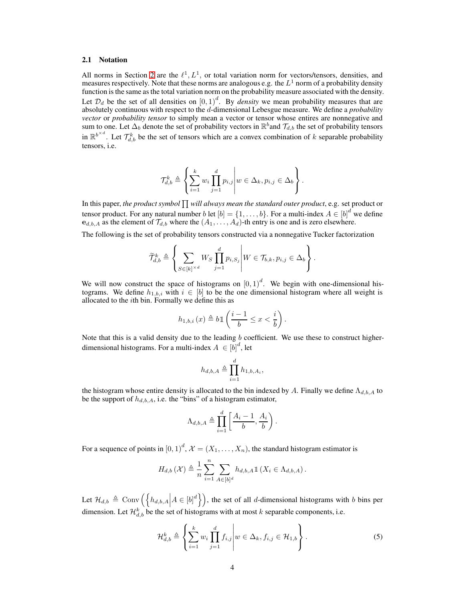#### 2.1 Notation

All norms in Section [2](#page-2-0) are the  $\ell^1, L^1$ , or total variation norm for vectors/tensors, densities, and measures respectively. Note that these norms are analogous e.g. the  $L^1$  norm of a probability density function is the same as the total variation norm on the probability measure associated with the density. Let  $\mathcal{D}_d$  be the set of all densities on  $[0, 1)^d$ . By *density* we mean probability measures that are absolutely continuous with respect to the d-dimensional Lebesgue measure. We define a *probability vector* or *probability tensor* to simply mean a vector or tensor whose entires are nonnegative and sum to one. Let  $\Delta_b$  denote the set of probability vectors in  $\mathbb{R}^b$  and  $\mathcal{T}_{d,b}$  the set of probability tensors in  $\mathbb{R}^{b^{\times d}}$ . Let  $\mathcal{T}_{d,b}^k$  be the set of tensors which are a convex combination of k separable probability tensors, i.e.

$$
\mathcal{T}_{d,b}^k \triangleq \left\{ \sum_{i=1}^k w_i \prod_{j=1}^d p_{i,j} \middle| w \in \Delta_k, p_{i,j} \in \Delta_b \right\}.
$$

In this paper, *the product symbol*  $\prod$  will always mean the standard outer product, e.g. set product or tensor product. For any natural number b let  $[b] = \{1, \ldots, b\}$ . For a multi-index  $A \in [b]^d$  we define  $e_{d,b,A}$  as the element of  $\mathcal{T}_{d,b}$  where the  $(A_1, \ldots, A_d)$ -th entry is one and is zero elsewhere.

The following is the set of probability tensors constructed via a nonnegative Tucker factorization

$$
\widetilde{\mathcal{T}}_{d,b}^k \triangleq \left\{ \sum_{S \in [k]^{\times d}} W_S \prod_{j=1}^d p_{i,S_j} \middle\vert W \in \mathcal{T}_{b,k}, p_{i,j} \in \Delta_b \right\}.
$$

We will now construct the space of histograms on  $[0, 1)^d$ . We begin with one-dimensional histograms. We define  $h_{1,b,i}$  with  $i \in [b]$  to be the one dimensional histogram where all weight is allocated to the ith bin. Formally we define this as

$$
h_{1,b,i}\left(x\right)\triangleq b\mathbbm{1}\left(\frac{i-1}{b}\leq x<\frac{i}{b}\right).
$$

Note that this is a valid density due to the leading  $b$  coefficient. We use these to construct higherdimensional histograms. For a multi-index  $A \in [b]^d$ , let

$$
h_{d,b,A} \triangleq \prod_{i=1}^d h_{1,b,A_i},
$$

the histogram whose entire density is allocated to the bin indexed by A. Finally we define  $\Lambda_{d,b,A}$  to be the support of  $h_{d,b,A}$ , i.e. the "bins" of a histogram estimator,

<span id="page-3-0"></span>
$$
\Lambda_{d,b,A} \triangleq \prod_{i=1}^d \left[ \frac{A_i - 1}{b}, \frac{A_i}{b} \right).
$$

For a sequence of points in  $[0,1)^d$ ,  $\mathcal{X} = (X_1, \ldots, X_n)$ , the standard histogram estimator is

$$
H_{d,b}\left(\mathcal{X}\right) \triangleq \frac{1}{n} \sum_{i=1}^{n} \sum_{A \in [b]^d} h_{d,b,A} \mathbb{1}\left(X_i \in \Lambda_{d,b,A}\right).
$$

Let  $\mathcal{H}_{d,b} \triangleq \text{Conv}\left(\left\{h_{d,b,A} \middle| A \in [b]^d\right\}\right)$ , the set of all d-dimensional histograms with b bins per dimension. Let  $\mathcal{H}_{d,b}^k$  be the set of histograms with at most k separable components, i.e.

$$
\mathcal{H}_{d,b}^k \triangleq \left\{ \sum_{i=1}^k w_i \prod_{j=1}^d f_{i,j} \middle| w \in \Delta_k, f_{i,j} \in \mathcal{H}_{1,b} \right\}.
$$
 (5)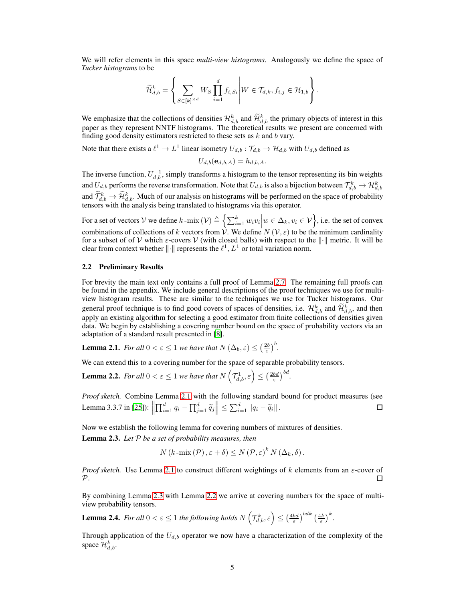We will refer elements in this space *multi-view histograms*. Analogously we define the space of *Tucker histograms* to be

$$
\widetilde{\mathcal{H}}_{d,b}^k = \left\{ \sum_{S \in [k]^{*d}} W_S \prod_{i=1}^d f_{i,S_i} \middle| W \in \mathcal{T}_{d,k}, f_{i,j} \in \mathcal{H}_{1,b} \right\}.
$$

We emphasize that the collections of densities  $\mathcal{H}_{d,b}^k$  and  $\mathcal{H}_{d,b}^k$  the primary objects of interest in this paper as they represent NNTF histograms. The theoretical results we present are concerned with finding good density estimators restricted to these sets as  $k$  and  $b$  vary.

Note that there exists a  $l^1 \to L^1$  linear isometry  $U_{d,b} : \mathcal{T}_{d,b} \to \mathcal{H}_{d,b}$  with  $U_{d,b}$  defined as

$$
U_{d,b}(\mathbf{e}_{d,b,A}) = h_{d,b,A}.
$$

The inverse function,  $U_{d,b}^{-1}$ , simply transforms a histogram to the tensor representing its bin weights and  $U_{d,b}$  performs the reverse transformation. Note that  $U_{d,b}$  is also a bijection between  $\mathcal{T}^k_{d,b}\to \mathcal{H}^k_{d,b}$ and  $\mathcal{T}_{d,b}^k \to \mathcal{H}_{d,b}^k$ . Much of our analysis on histograms will be performed on the space of probability tensors with the analysis being translated to histograms via this operator.

For a set of vectors V we define  $k$ -mix  $(\mathcal{V}) \triangleq \left\{ \sum_{i=1}^k w_i v_i \middle| w \in \Delta_k, v_i \in \mathcal{V} \right\}$ , i.e. the set of convex combinations of collections of k vectors from  $V$ . We define  $N(V, \varepsilon)$  to be the minimum cardinality for a subset of of V which  $\varepsilon$ -covers V (with closed balls) with respect to the  $\|\cdot\|$  metric. It will be clear from context whether  $\|\cdot\|$  represents the  $\ell^1$ ,  $L^1$  or total variation norm.

#### 2.2 Preliminary Results

For brevity the main text only contains a full proof of Lemma [2.7.](#page-5-0) The remaining full proofs can be found in the appendix. We include general descriptions of the proof techniques we use for multiview histogram results. These are similar to the techniques we use for Tucker histograms. Our general proof technique is to find good covers of spaces of densities, i.e.  $\mathcal{H}_{d,b}^k$  and  $\mathcal{H}_{d,b}^k$ , and then apply an existing algorithm for selecting a good estimator from finite collections of densities given data. We begin by establishing a covering number bound on the space of probability vectors via an adaptation of a standard result presented in [\[8\]](#page-10-4).

<span id="page-4-0"></span>**Lemma 2.1.** *For all*  $0 < \varepsilon \leq 1$  *we have that*  $N(\Delta_b, \varepsilon) \leq \left(\frac{2b}{\varepsilon}\right)^b$ .

We can extend this to a covering number for the space of separable probability tensors.

<span id="page-4-2"></span>**Lemma 2.2.** *For all*  $0 < \varepsilon \leq 1$  *we have that*  $N$   $($  $\left(\mathcal{T}_{d,b}^{1},\varepsilon\right)\leq\left(\frac{2bd}{\varepsilon}\right)^{bd}.$ 

*Proof sketch.* Combine Lemma [2.1](#page-4-0) with the following standard bound for product measures (see Lemma 3.3.7 in [\[25\]](#page-11-13)):  $\left\| \prod_{i=1}^d q_i - \prod_{j=1}^d \widetilde{q}_j \right\| \leq \sum_{i=1}^d ||q_i - \widetilde{q}_i||$ . □

<span id="page-4-1"></span>Now we establish the following lemma for covering numbers of mixtures of densities. Lemma 2.3. *Let* P *be a set of probability measures, then*

$$
N(k-\max(\mathcal{P}), \varepsilon+\delta) \leq N(\mathcal{P}, \varepsilon)^k N(\Delta_k, \delta).
$$

*Proof sketch.* Use Lemma [2.1](#page-4-0) to construct different weightings of k elements from an ε-cover of  $\mathcal{P}$ .  $\Box$ 

By combining Lemma [2.3](#page-4-1) with Lemma [2.2](#page-4-2) we arrive at covering numbers for the space of multiview probability tensors.

<span id="page-4-3"></span>**Lemma 2.4.** *For all*  $0 < \varepsilon \leq 1$  *the following holds*  $N$   $($  $\left(\mathcal{T}_{d,b}^{k},\varepsilon\right)\leq\left(\frac{4bd}{\varepsilon}\right)^{bdk}\left(\frac{4k}{\varepsilon}\right)^{k}.$ 

Through application of the  $U_{d,b}$  operator we now have a characterization of the complexity of the space  $\mathcal{H}_{d,b}^k$ .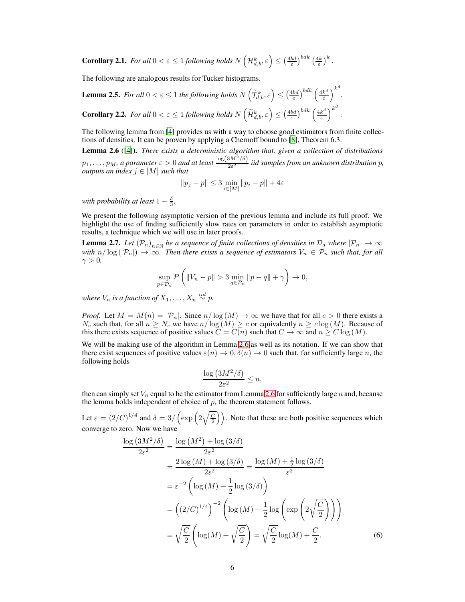<span id="page-5-3"></span>**Corollary 2.1.** For all 
$$
0 < \varepsilon \le 1
$$
 following holds  $N\left(\mathcal{H}_{d,b}^k, \varepsilon\right) \le \left(\frac{4bd}{\varepsilon}\right)^{bdk} \left(\frac{4k}{\varepsilon}\right)^k$ .

The following are analogous results for Tucker histograms.

<span id="page-5-4"></span>**Lemma 2.5.** For all  $0 < \varepsilon \leq 1$  the following holds  $N\left(\widetilde{\mathcal{T}}_{d,b}^k, \varepsilon\right) \leq \left(\frac{4bd}{\varepsilon}\right)^{bdk} \left(\frac{4k^d}{\varepsilon}\right)^{c}$ ε  $\setminus^{k^d}$ *.* **Corollary 2.2.** For all  $0 < \varepsilon \le 1$  following holds  $N\left(\widetilde{\mathcal{H}}_{d,b}^k, \varepsilon\right) \le \left(\frac{4bd}{\varepsilon}\right)^{bdk} \left(\frac{4k^d}{\varepsilon}\right)^{c}$ ε  $\setminus^{k^d}$ .

<span id="page-5-5"></span>The following lemma from [\[4\]](#page-10-13) provides us with a way to choose good estimators from finite collections of densities. It can be proven by applying a Chernoff bound to [\[8\]](#page-10-4), Theorem 6.3.

<span id="page-5-1"></span>Lemma 2.6 ([\[4\]](#page-10-13)). *There exists a deterministic algorithm that, given a collection of distributions*  $p_1,\ldots,p_M$ , a parameter  $\varepsilon > 0$  and at least  $\frac{\log(3M^2/\delta)}{2\varepsilon^2}$  iid samples from an unknown distribution p, *outputs an index* j ∈ [M] *such that*

$$
||p_j - p|| \le 3 \min_{i \in [M]} ||p_i - p|| + 4\varepsilon
$$

*with probability at least*  $1 - \frac{\delta}{3}$ *.* 

We present the following asymptotic version of the previous lemma and include its full proof. We highlight the use of finding sufficiently slow rates on parameters in order to establish asymptotic results, a technique which we will use in later proofs.

<span id="page-5-0"></span>**Lemma 2.7.** Let  $(\mathcal{P}_n)_{n\in\mathbb{N}}$  be a sequence of finite collections of densities in  $\mathcal{D}_d$  where  $|\mathcal{P}_n|\to\infty$ *with*  $n/\log(|P_n|) \to \infty$ . Then there exists a sequence of estimators  $V_n \in P_n$  such that, for all  $\gamma > 0$ ,

$$
\sup_{p\in\mathcal{D}_d}P\left(\|V_n-p\|>3\min_{q\in\mathcal{P}_n}\|p-q\|+\gamma\right)\to 0,
$$

*where*  $V_n$  *is a function of*  $X_1, \ldots, X_n \stackrel{iid}{\sim} p$ .

*Proof.* Let  $M = M(n) = |\mathcal{P}_n|$ . Since  $n/\log(M) \to \infty$  we have that for all  $c > 0$  there exists a  $N_c$  such that, for all  $n \ge N_c$  we have  $n/\log(M) \ge c$  or equivalently  $n \ge c \log(M)$ . Because of this there exists sequence of positive values  $C = C(n)$  such that  $C \rightarrow \infty$  and  $n > C \log(M)$ .

We will be making use of the algorithm in Lemma [2.6](#page-5-1) as well as its notation. If we can show that there exist sequences of positive values  $\varepsilon(n) \to 0, \delta(n) \to 0$  such that, for sufficiently large n, the following holds

<span id="page-5-2"></span>
$$
\frac{\log (3M^2/\delta)}{2\varepsilon^2} \le n,
$$

then can simply set  $V_n$  equal to be the estimator from Lemma [2.6](#page-5-1) for sufficiently large n and, because the lemma holds independent of choice of  $p$ , the theorem statement follows.

Let  $\varepsilon = (2/C)^{1/4}$  and  $\delta = 3/\left(\exp\left(2\sqrt{\frac{C}{2}}\right)\right)$ . Note that these are both positive sequences which converge to zero. Now we have

$$
\frac{\log (3M^2/\delta)}{2\varepsilon^2} = \frac{\log (M^2) + \log (3/\delta)}{2\varepsilon^2}
$$
  
= 
$$
\frac{2\log (M) + \log (3/\delta)}{2\varepsilon^2} = \frac{\log (M) + \frac{1}{2}\log (3/\delta)}{\varepsilon^2}
$$
  
= 
$$
\varepsilon^{-2} \left( \log (M) + \frac{1}{2}\log (3/\delta) \right)
$$
  
= 
$$
\left( (2/C)^{1/4} \right)^{-2} \left( \log (M) + \frac{1}{2}\log \left( \exp \left( 2\sqrt{\frac{C}{2}} \right) \right) \right)
$$
  
= 
$$
\sqrt{\frac{C}{2}} \left( \log(M) + \sqrt{\frac{C}{2}} \right) = \sqrt{\frac{C}{2}} \log(M) + \frac{C}{2}.
$$
 (6)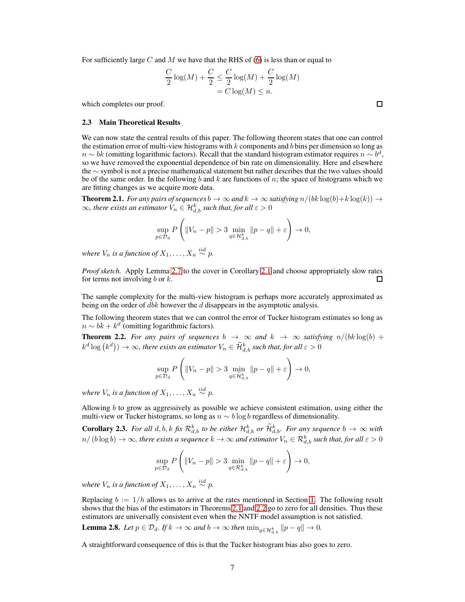For sufficiently large C and M we have that the RHS of [\(6\)](#page-5-2) is less than or equal to

$$
\frac{C}{2}\log(M) + \frac{C}{2} \le \frac{C}{2}\log(M) + \frac{C}{2}\log(M)
$$

$$
= C\log(M) \le n.
$$

which completes our proof.

#### 2.3 Main Theoretical Results

We can now state the central results of this paper. The following theorem states that one can control the estimation error of multi-view histograms with  $k$  components and  $b$  bins per dimension so long as  $n \sim bk$  (omitting logarithmic factors). Recall that the standard histogram estimator requires  $n \sim b^d$ , so we have removed the exponential dependence of bin rate on dimensionality. Here and elsewhere the ∼ symbol is not a precise mathematical statement but rather describes that the two values should be of the same order. In the following b and k are functions of  $n$ ; the space of histograms which we are fitting changes as we acquire more data.

<span id="page-6-0"></span>**Theorem 2.1.** *For any pairs of sequences*  $b \to \infty$  *and*  $k \to \infty$  *satisfying*  $n/(bk \log(b) + k \log(k)) \to$  $\infty$ , there exists an estimator  $V_n \in \mathcal{H}^k_{d,b}$  such that, for all  $\varepsilon > 0$ 

$$
\sup_{p\in\mathcal{D}_d}P\left(\|V_n-p\|>3\min_{q\in\mathcal{H}^k_{d,b}}\|p-q\|+\varepsilon\right)\to 0,
$$

where  $V_n$  is a function of  $X_1, \ldots, X_n \stackrel{iid}{\sim} p$ .

*Proof sketch.* Apply Lemma [2.7](#page-5-0) to the cover in Corollary [2.1](#page-5-3) and choose appropriately slow rates for terms not involving  $b$  or  $k$ . П

The sample complexity for the multi-view histogram is perhaps more accurately approximated as being on the order of  $dbk$  however the  $d$  disappears in the asymptotic analysis.

The following theorem states that we can control the error of Tucker histogram estimates so long as  $n \sim bk + k^d$  (omitting logarithmic factors).

<span id="page-6-1"></span>**Theorem 2.2.** For any pairs of sequences  $b \rightarrow \infty$  and  $k \rightarrow \infty$  satisfying  $n/(bk \log(b) +$  $k^d\log\left(k^d\right))\to\infty$ , there exists an estimator  $V_n\in \widetilde{\mathcal H}_{d,b}^k$  such that, for all  $\varepsilon>0$ 

$$
\sup_{p\in\mathcal{D}_d}P\left(\|V_n-p\|>3\min_{q\in\widetilde{\mathcal{H}}^k_{d,b}}\|p-q\|+\varepsilon\right)\to 0,
$$

where  $V_n$  is a function of  $X_1, \ldots, X_n \stackrel{iid}{\sim} p$ .

Allowing  $b$  to grow as aggressively as possible we achieve consistent estimation, using either the multi-view or Tucker histograms, so long as  $n \sim b \log b$  regardless of dimensionality.

**Corollary 2.3.** For all  $d, b, k$  *fix*  $\mathcal{R}_{d,b}^k$  *to be either*  $\mathcal{H}_{d,b}^k$  *or*  $\widetilde{\mathcal{H}}_{d,b}^k$ . For any sequence  $b \to \infty$  with  $n/$   $(b\log b)\to\infty$ , there exists a sequence  $k\to\infty$  and estimator  $V_n\in\mathcal{R}^k_{d,b}$  such that, for all  $\varepsilon>0$ 

$$
\sup_{p\in\mathcal{D}_d} P\left(\|V_n-p\|>3\min_{q\in\mathcal{R}_{d,b}^k} \|p-q\|+\varepsilon\right)\to 0,
$$

*where*  $V_n$  *is a function of*  $X_1, \ldots, X_n \stackrel{iid}{\sim} p$ .

Replacing  $b := 1/h$  allows us to arrive at the rates mentioned in Section [1.](#page-0-0) The following result shows that the bias of the estimators in Theorems [2.1](#page-6-0) and [2](#page-6-1).2 go to zero for all densities. Thus these estimators are universally consistent even when the NNTF model assumption is not satisfied.

<span id="page-6-2"></span>**Lemma 2.8.** Let  $p \in \mathcal{D}_d$ . If  $k \to \infty$  and  $b \to \infty$  then  $\min_{q \in \mathcal{H}_{d,b}^k} ||p - q|| \to 0$ .

A straightforward consequence of this is that the Tucker histogram bias also goes to zero.

7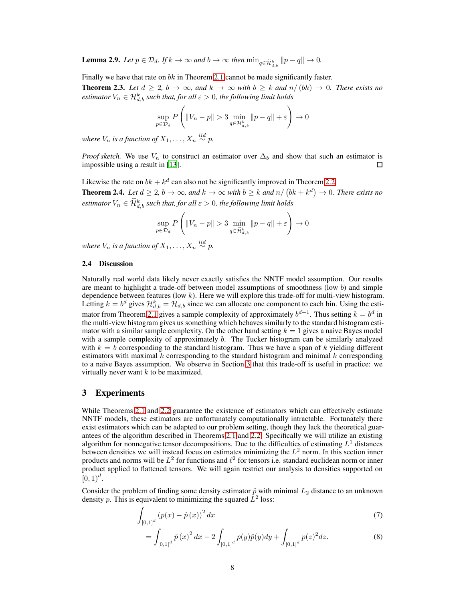<span id="page-7-3"></span>**Lemma 2.9.** *Let*  $p \in \mathcal{D}_d$ *. If*  $k \to \infty$  *and*  $b \to \infty$  *then*  $\min_{q \in \widetilde{\mathcal{H}}_{d,b}^k} ||p - q|| \to 0$ *.* 

Finally we have that rate on bk in Theorem [2.1](#page-6-0) cannot be made significantly faster.

<span id="page-7-4"></span>**Theorem 2.3.** Let  $d \geq 2$ ,  $b \to \infty$ , and  $k \to \infty$  with  $b \geq k$  and  $n/(bk) \to 0$ . There exists no  $e$ stimator  $V_n \in \mathcal{H}^k_{d,b}$  such that, for all  $\varepsilon > 0$ , the following limit holds

$$
\sup_{p\in\mathcal{D}_d}P\left(\|V_n-p\|>3\min_{q\in\mathcal{H}_{d,b}^k}\|p-q\|+\varepsilon\right)\to0
$$

*where*  $V_n$  *is a function of*  $X_1, \ldots, X_n \stackrel{iid}{\sim} p$ .

*Proof sketch.* We use  $V_n$  to construct an estimator over  $\Delta_b$  and show that such an estimator is impossible using a result in [\[13\]](#page-10-14). 口

<span id="page-7-5"></span>Likewise the rate on  $bk + k^d$  can also not be significantly improved in Theorem [2.2.](#page-6-1) **Theorem 2.4.** Let  $d \geq 2$ ,  $b \to \infty$ , and  $k \to \infty$  with  $b \geq k$  and  $n/(bk + k^d) \to 0$ . There exists no  $e$ stimator  $V_n \in \mathcal{H}_{d,b}^k$  such that, for all  $\varepsilon > 0$ , the following limit holds

$$
\sup_{p \in \mathcal{D}_d} P\left( \|V_n - p\| > 3 \min_{q \in \widetilde{\mathcal{H}}_{d,b}^k} \|p - q\| + \varepsilon \right) \to 0
$$

<span id="page-7-2"></span>where  $V_n$  is a function of  $X_1, \ldots, X_n \stackrel{iid}{\sim} p$ .

#### 2.4 Discussion

Naturally real world data likely never exactly satisfies the NNTF model assumption. Our results are meant to highlight a trade-off between model assumptions of smoothness (low  $b$ ) and simple dependence between features (low k). Here we will explore this trade-off for multi-view histogram. Letting  $k = b^d$  gives  $\mathcal{H}_{d,b}^k = \mathcal{H}_{d,b}$  since we can allocate one component to each bin. Using the esti-mator from Theorem [2.1](#page-6-0) gives a sample complexity of approximately  $b^{d+1}$ . Thus setting  $k = b^d$  in the multi-view histogram gives us something which behaves similarly to the standard histogram estimator with a similar sample complexity. On the other hand setting  $k = 1$  gives a naive Bayes model with a sample complexity of approximately b. The Tucker histogram can be similarly analyzed with  $k = b$  corresponding to the standard histogram. Thus we have a span of k yielding different estimators with maximal  $k$  corresponding to the standard histogram and minimal  $k$  corresponding to a naive Bayes assumption. We observe in Section [3](#page-7-0) that this trade-off is useful in practice: we virtually never want  $k$  to be maximized.

# <span id="page-7-0"></span>3 Experiments

While Theorems [2.1](#page-6-0) and [2.2](#page-6-1) guarantee the existence of estimators which can effectively estimate NNTF models, these estimators are unfortunately computationally intractable. Fortunately there exist estimators which can be adapted to our problem setting, though they lack the theoretical guarantees of the algorithm described in Theorems [2.1](#page-6-0) and [2.2.](#page-6-1) Specifically we will utilize an existing algorithm for nonnegative tensor decompositions. Due to the difficulties of estimating  $L^1$  distances between densities we will instead focus on estimates minimizing the  $L^2$  norm. In this section inner products and norms will be  $L^2$  for functions and  $\ell^2$  for tensors i.e. standard euclidean norm or inner product applied to flattened tensors. We will again restrict our analysis to densities supported on  $[0, 1)^d$ .

Consider the problem of finding some density estimator  $\hat{p}$  with minimal  $L_2$  distance to an unknown density p. This is equivalent to minimizing the squared  $\bar{L}^2$  loss:

$$
\int_{[0,1]^d} (p(x) - \hat{p}(x))^2 dx
$$
\n(7)

<span id="page-7-1"></span>
$$
= \int_{[0,1]^d} \hat{p}(x)^2 dx - 2 \int_{[0,1]^d} p(y)\hat{p}(y)dy + \int_{[0,1]^d} p(z)^2 dz.
$$
 (8)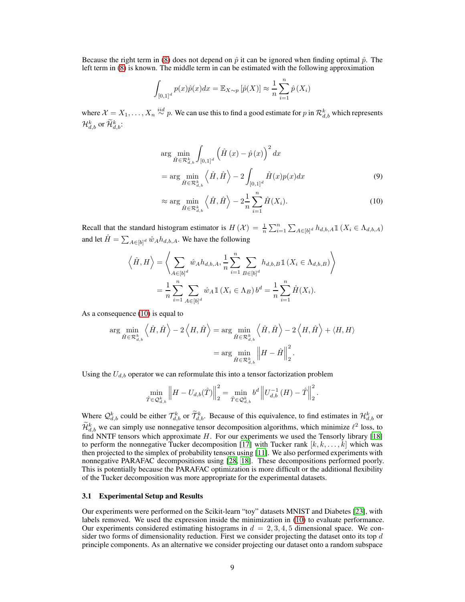Because the right term in [\(8\)](#page-7-1) does not depend on  $\hat{p}$  it can be ignored when finding optimal  $\hat{p}$ . The left term in [\(8\)](#page-7-1) is known. The middle term in can be estimated with the following approximation

$$
\int_{[0,1]^d} p(x)\hat{p}(x)dx = \mathbb{E}_{X \sim p} \left[\hat{p}(X)\right] \approx \frac{1}{n} \sum_{i=1}^n \hat{p}(X_i)
$$

where  $\mathcal{X} = X_1, \ldots, X_n \stackrel{iid}{\sim} p$ . We can use this to find a good estimate for p in  $\mathcal{R}^k_{d,b}$  which represents  $\mathcal{H}_{d,b}^k$  or  $\mathcal{\bar{H}}_{d,b}^k$ :

$$
\arg\min_{\hat{H}\in\mathcal{R}_{d,b}^k} \int_{[0,1]^d} \left(\hat{H}\left(x\right) - \hat{p}\left(x\right)\right)^2 dx
$$
\n
$$
= \arg\min_{\hat{H}\in\mathcal{R}_{d,b}^k} \left\langle \hat{H}, \hat{H} \right\rangle - 2 \int_{[0,1]^d} \hat{H}(x)p(x)dx \tag{9}
$$

<span id="page-8-0"></span>
$$
\approx \arg\min_{\hat{H}\in\mathcal{R}^k_{d,b}} \left\langle \hat{H}, \hat{H} \right\rangle - 2\frac{1}{n} \sum_{i=1}^n \hat{H}(X_i). \tag{10}
$$

Recall that the standard histogram estimator is  $H(\mathcal{X}) = \frac{1}{n} \sum_{i=1}^n \sum_{A \in [b]^d} h_{d,b,A} \mathbb{1}(X_i \in \Lambda_{d,b,A})$ and let  $\hat{H} = \sum_{A \in [b]^d} \hat{w}_A h_{d,b,A}$ . We have the following

$$
\left\langle \hat{H}, H \right\rangle = \left\langle \sum_{A \in [b]^d} \hat{w}_A h_{d,b,A}, \frac{1}{n} \sum_{i=1}^n \sum_{B \in [b]^d} h_{d,b,B} \mathbb{1} \left( X_i \in \Lambda_{d,b,B} \right) \right\rangle
$$

$$
= \frac{1}{n} \sum_{i=1}^n \sum_{A \in [b]^d} \hat{w}_A \mathbb{1} \left( X_i \in \Lambda_B \right) b^d = \frac{1}{n} \sum_{i=1}^n \hat{H}(X_i).
$$

As a consequence [\(10\)](#page-8-0) is equal to

$$
\arg\min_{\hat{H}\in\mathcal{R}_{d,b}^{k}}\left\langle \hat{H},\hat{H}\right\rangle - 2\left\langle H,\hat{H}\right\rangle = \arg\min_{\hat{H}\in\mathcal{R}_{d,b}^{k}}\left\langle \hat{H},\hat{H}\right\rangle - 2\left\langle H,\hat{H}\right\rangle + \left\langle H,H\right\rangle
$$

$$
= \arg\min_{\hat{H}\in\mathcal{R}_{d,b}^{k}}\left\Vert H - \hat{H}\right\Vert_{2}^{2}.
$$

Using the  $U_{d,b}$  operator we can reformulate this into a tensor factorization problem

$$
\min_{\hat{T}\in\mathcal{Q}_{d,b}^k} \left\|H - U_{d,b}(\hat{T})\right\|_2^2 = \min_{\hat{T}\in\mathcal{Q}_{d,b}^k} b^d \left\|U_{d,b}^{-1}(H) - \hat{T}\right\|_2^2.
$$

Where  $\mathcal{Q}_{d,b}^k$  could be either  $\mathcal{T}_{d,b}^k$  or  $\widetilde{\mathcal{T}}_{d,b}^k$ . Because of this equivalence, to find estimates in  $\mathcal{H}_{d,b}^k$  or  $\mathcal{H}_{d,b}^k$  we can simply use nonnegative tensor decomposition algorithms, which minimize  $\ell^2$  loss, to find NNTF tensors which approximate  $H$ . For our experiments we used the Tensorly library [\[18\]](#page-11-14) to perform the nonnegative Tucker decomposition [\[17\]](#page-11-2) with Tucker rank  $[k, k, \ldots, k]$  which was then projected to the simplex of probability tensors using [\[11](#page-10-15)]. We also performed experiments with nonnegative PARAFAC decompositions using [\[28,](#page-11-1) [18\]](#page-11-14). These decompositions performed poorly. This is potentially because the PARAFAC optimization is more difficult or the additional flexibility of the Tucker decomposition was more appropriate for the experimental datasets.

#### 3.1 Experimental Setup and Results

Our experiments were performed on the Scikit-learn "toy" datasets MNIST and Diabetes [\[23\]](#page-11-15), with labels removed. We used the expression inside the minimization in [\(10\)](#page-8-0) to evaluate performance. Our experiments considered estimating histograms in  $d = 2, 3, 4, 5$  dimensional space. We consider two forms of dimensionality reduction. First we consider projecting the dataset onto its top  $d$ principle components. As an alternative we consider projecting our dataset onto a random subspace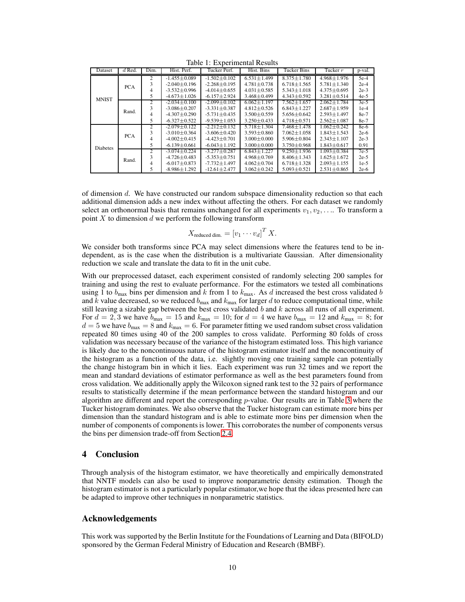| Dataset         | $d$ Red.   | Dim.           | Hist. Perf.        | Tucker Perf.       | Hist. Bins        | <b>Tucker Bins</b> | Tucker $r$        | p-val. |
|-----------------|------------|----------------|--------------------|--------------------|-------------------|--------------------|-------------------|--------|
| <b>MNIST</b>    | <b>PCA</b> | $\overline{c}$ | $-1.455 \pm 0.089$ | $-1.502 + 0.102$   | $6.531 + 1.499$   | $8.375 + 1.780$    | $4.968 + 1.976$   | $5e-4$ |
|                 |            |                | $-2.040 + 0.196$   | $-2.268 + 0.195$   | $4.781 + 0.738$   | $6.718 \pm 1.565$  | $5.781 + 1.340$   | $2e-4$ |
|                 |            | 4              | $-3.532 \pm 0.996$ | $-4.014 \pm 0.655$ | $4.031 \pm 0.585$ | $5.343 \pm 1.018$  | $4.375 \pm 0.695$ | $2e-3$ |
|                 |            | 5              | $-4.673 \pm 1.026$ | $-6.157 \pm 2.924$ | $3.468 \pm 0.499$ | $4.343 \pm 0.592$  | $3.281 \pm 0.514$ | $4e-5$ |
|                 |            | $\overline{c}$ | $-2.034 + 0.100$   | $-2.099 + 0.102$   | $6.062 + 1.197$   | $7.562 \pm 1.657$  | $2.062 + 1.784$   | $3e-5$ |
|                 | Rand.      | 3              | $-3.086 + 0.207$   | $-3.331 + 0.387$   | $4.812 + 0.526$   | $6.843 + 1.227$    | $2.687 + 1.959$   | $1e-4$ |
|                 |            | 4              | $-4.307 \pm 0.290$ | $-5.731 \pm 0.435$ | $3.500 \pm 0.559$ | $5.656 \pm 0.642$  | $2.593 \pm 1.497$ | 8e-7   |
|                 |            | 5              | $-6.327 \pm 0.522$ | $-9.539 \pm 1.053$ | $3.250 \pm 0.433$ | $4.718 \pm 0.571$  | $2.562 \pm 1.087$ | 8e-7   |
| <b>Diabetes</b> | <b>PCA</b> | $\mathfrak{D}$ | $-2.079 + 0.122$   | $-2.212 + 0.132$   | $5.718 + 1.304$   | $7.468 \pm 1.478$  | $1.062 \pm 0.242$ | 8e-6   |
|                 |            |                | $-3.010 \pm 0.364$ | $-3.606 \pm 0.420$ | $3.593 \pm 0.860$ | $7.062 \pm 1.058$  | $1.843 + 1.543$   | $2e-6$ |
|                 |            | 4              | $-4.002 \pm 0.415$ | $-4.423 \pm 0.701$ | $3.000 \pm 0.000$ | $5.906 \pm 0.804$  | $2.343 \pm 1.107$ | $2e-3$ |
|                 |            | 5              | $-6.139 \pm 0.661$ | $-6.043 + 1.192$   | $3.000 + 0.000$   | $3.750 \pm 0.968$  | $1.843 \pm 0.617$ | 0.91   |
|                 | Rand.      | $\overline{c}$ | $-3.074 + 0.224$   | $-3.277 \pm 0.287$ | $6.843 + 1.227$   | $9.250 \pm 1.936$  | $1.093 \pm 0.384$ | $7e-5$ |
|                 |            | 3              | $-4.726 \pm 0.483$ | $-5.353 \pm 0.751$ | $4.968 \pm 0.769$ | $8.406 \pm 1.343$  | $1.625 + 1.672$   | $2e-5$ |
|                 |            | 4              | $-6.017 \pm 0.873$ | $-7.732 \pm 1.497$ | $4.062 \pm 0.704$ | $6.718 \pm 1.328$  | $2.093 \pm 1.155$ | $1e-5$ |
|                 |            |                | $-8.986 \pm 1.292$ | $-12.61 \pm 2.477$ | $3.062 \pm 0.242$ | $5.093 \pm 0.521$  | $2.531 \pm 0.865$ | $2e-6$ |

Table 1: Experimental Results

of dimension d. We have constructed our random subspace dimensionality reduction so that each additional dimension adds a new index without affecting the others. For each dataset we randomly select an orthonormal basis that remains unchanged for all experiments  $v_1, v_2, \ldots$ . To transform a point  $X$  to dimension  $d$  we perform the following transform

$$
X_{reduced dim.} = [v_1 \cdots v_d]^T X.
$$

We consider both transforms since PCA may select dimensions where the features tend to be independent, as is the case when the distribution is a multivariate Gaussian. After dimensionality reduction we scale and translate the data to fit in the unit cube.

With our preprocessed dataset, each experiment consisted of randomly selecting 200 samples for training and using the rest to evaluate performance. For the estimators we tested all combinations using 1 to  $b_{\text{max}}$  bins per dimension and k from 1 to  $k_{\text{max}}$ . As d increased the best cross validated b and  $\bar{k}$  value decreased, so we reduced  $b_{\text{max}}$  and  $k_{\text{max}}$  for larger d to reduce computational time, while still leaving a sizable gap between the best cross validated  $b$  and  $k$  across all runs of all experiment. For  $d = 2, 3$  we have  $b_{\text{max}} = 15$  and  $k_{\text{max}} = 10$ ; for  $d = 4$  we have  $b_{\text{max}} = 12$  and  $k_{\text{max}} = 8$ ; for  $d = 5$  we have  $b_{\text{max}} = 8$  and  $k_{\text{max}} = 6$ . For parameter fitting we used random subset cross validation repeated 80 times using 40 of the 200 samples to cross validate. Performing 80 folds of cross validation was necessary because of the variance of the histogram estimated loss. This high variance is likely due to the noncontinuous nature of the histogram estimator itself and the noncontinuity of the histogram as a function of the data, i.e. slightly moving one training sample can potentially the change histogram bin in which it lies. Each experiment was run 32 times and we report the mean and standard deviations of estimator performance as well as the best parameters found from cross validation. We additionally apply the Wilcoxon signed rank test to the 32 pairs of performance results to statistically determine if the mean performance between the standard histogram and our algorithm are different and report the corresponding  $p$ -value. Our results are in Table [3](#page-8-0) where the Tucker histogram dominates. We also observe that the Tucker histogram can estimate more bins per dimension than the standard histogram and is able to estimate more bins per dimension when the number of components of components is lower. This corroborates the number of components versus the bins per dimension trade-off from Section [2.4.](#page-7-2)

# 4 Conclusion

Through analysis of the histogram estimator, we have theoretically and empirically demonstrated that NNTF models can also be used to improve nonparametric density estimation. Though the histogram estimator is not a particularly popular estimator,we hope that the ideas presented here can be adapted to improve other techniques in nonparametric statistics.

# Acknowledgements

This work was supported by the Berlin Institute for the Foundations of Learning and Data (BIFOLD) sponsored by the German Federal Ministry of Education and Research (BMBF).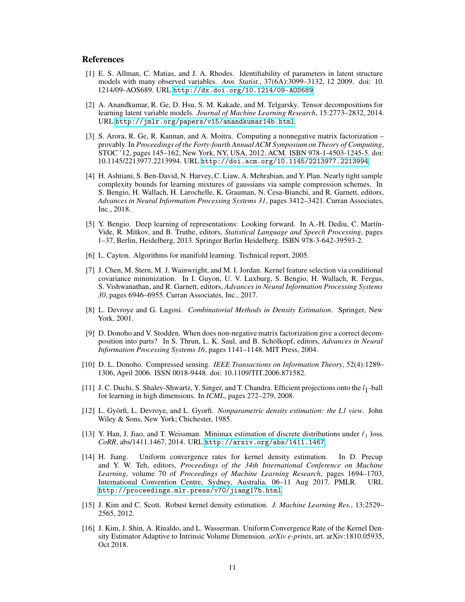### **References**

- <span id="page-10-11"></span>[1] E. S. Allman, C. Matias, and J. A. Rhodes. Identifiability of parameters in latent structure models with many observed variables. *Ann. Statist.*, 37(6A):3099–3132, 12 2009. doi: 10. 1214/09-AOS689. URL <http://dx.doi.org/10.1214/09-AOS689>.
- <span id="page-10-12"></span>[2] A. Anandkumar, R. Ge, D. Hsu, S. M. Kakade, and M. Telgarsky. Tensor decompositions for learning latent variable models. *Journal of Machine Learning Research*, 15:2773–2832, 2014. URL <http://jmlr.org/papers/v15/anandkumar14b.html>.
- <span id="page-10-10"></span>[3] S. Arora, R. Ge, R. Kannan, and A. Moitra. Computing a nonnegative matrix factorization – provably. In *Proceedings of the Forty-fourth Annual ACM Symposium on Theory of Computing*, STOC '12, pages 145–162, New York, NY, USA, 2012. ACM. ISBN 978-1-4503-1245-5. doi: 10.1145/2213977.2213994. URL <http://doi.acm.org/10.1145/2213977.2213994>.
- <span id="page-10-13"></span>[4] H. Ashtiani, S. Ben-David, N. Harvey, C. Liaw, A. Mehrabian, and Y. Plan. Nearly tight sample complexity bounds for learning mixtures of gaussians via sample compression schemes. In S. Bengio, H. Wallach, H. Larochelle, K. Grauman, N. Cesa-Bianchi, and R. Garnett, editors, *Advances in Neural Information Processing Systems 31*, pages 3412–3421. Curran Associates, Inc., 2018.
- <span id="page-10-3"></span>[5] Y. Bengio. Deep learning of representations: Looking forward. In A.-H. Dediu, C. Martín-Vide, R. Mitkov, and B. Truthe, editors, *Statistical Language and Speech Processing*, pages 1–37, Berlin, Heidelberg, 2013. Springer Berlin Heidelberg. ISBN 978-3-642-39593-2.
- <span id="page-10-2"></span>[6] L. Cayton. Algorithms for manifold learning. Technical report, 2005.
- <span id="page-10-1"></span>[7] J. Chen, M. Stern, M. J. Wainwright, and M. I. Jordan. Kernel feature selection via conditional covariance minimization. In I. Guyon, U. V. Luxburg, S. Bengio, H. Wallach, R. Fergus, S. Vishwanathan, and R. Garnett, editors, *Advances in Neural Information Processing Systems 30*, pages 6946–6955. Curran Associates, Inc., 2017.
- <span id="page-10-4"></span>[8] L. Devroye and G. Lugosi. *Combinatorial Methods in Density Estimation*. Springer, New York, 2001.
- <span id="page-10-9"></span>[9] D. Donoho and V. Stodden. When does non-negative matrix factorization give a correct decomposition into parts? In S. Thrun, L. K. Saul, and B. Schölkopf, editors, *Advances in Neural Information Processing Systems 16*, pages 1141–1148. MIT Press, 2004.
- <span id="page-10-8"></span>[10] D. L. Donoho. Compressed sensing. *IEEE Transactions on Information Theory*, 52(4):1289– 1306, April 2006. ISSN 0018-9448. doi: 10.1109/TIT.2006.871582.
- <span id="page-10-15"></span>[11] J. C. Duchi, S. Shalev-Shwartz, Y. Singer, and T. Chandra. Efficient projections onto the  $l_1$ -ball for learning in high dimensions. In *ICML*, pages 272–279, 2008.
- <span id="page-10-0"></span>[12] L. Györfi, L. Devroye, and L. Gyorfi. *Nonparametric density estimation: the L1 view*. John Wiley & Sons, New York; Chichester, 1985.
- <span id="page-10-14"></span>[13] Y. Han, J. Jiao, and T. Weissman. Minimax estimation of discrete distributions under  $\ell_1$  loss. *CoRR*, abs/1411.1467, 2014. URL <http://arxiv.org/abs/1411.1467>.
- <span id="page-10-5"></span>[14] H. Jiang. Uniform convergence rates for kernel density estimation. In D. Precup and Y. W. Teh, editors, *Proceedings of the 34th International Conference on Machine Learning*, volume 70 of *Proceedings of Machine Learning Research*, pages 1694–1703, International Convention Centre, Sydney, Australia, 06–11 Aug 2017. PMLR. URL <http://proceedings.mlr.press/v70/jiang17b.html>.
- <span id="page-10-6"></span>[15] J. Kim and C. Scott. Robust kernel density estimation. *J. Machine Learning Res.*, 13:2529– 2565, 2012.
- <span id="page-10-7"></span>[16] J. Kim, J. Shin, A. Rinaldo, and L. Wasserman. Uniform Convergence Rate of the Kernel Density Estimator Adaptive to Intrinsic Volume Dimension. *arXiv e-prints*, art. arXiv:1810.05935, Oct 2018.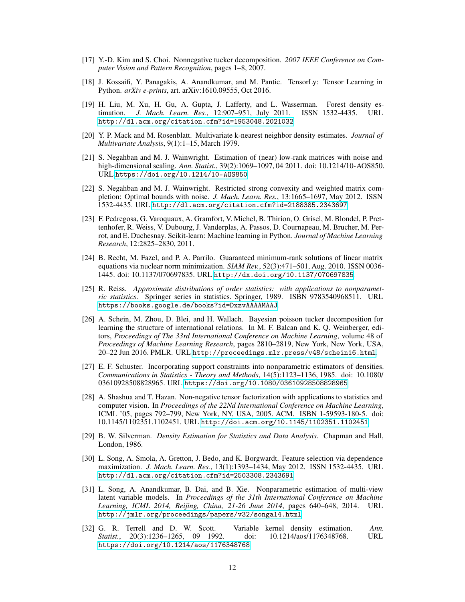- <span id="page-11-2"></span>[17] Y.-D. Kim and S. Choi. Nonnegative tucker decomposition. *2007 IEEE Conference on Computer Vision and Pattern Recognition*, pages 1–8, 2007.
- <span id="page-11-14"></span>[18] J. Kossaifi, Y. Panagakis, A. Anandkumar, and M. Pantic. TensorLy: Tensor Learning in Python. *arXiv e-prints*, art. arXiv:1610.09555, Oct 2016.
- <span id="page-11-3"></span>[19] H. Liu, M. Xu, H. Gu, A. Gupta, J. Lafferty, and L. Wasserman. Forest density estimation. *J. Mach. Learn. Res.*, 12:907–951, July 2011. ISSN 1532-4435. URL <http://dl.acm.org/citation.cfm?id=1953048.2021032>.
- <span id="page-11-4"></span>[20] Y. P. Mack and M. Rosenblatt. Multivariate k-nearest neighbor density estimates. *Journal of Multivariate Analysis*, 9(1):1–15, March 1979.
- <span id="page-11-9"></span>[21] S. Negahban and M. J. Wainwright. Estimation of (near) low-rank matrices with noise and high-dimensional scaling. *Ann. Statist.*, 39(2):1069–1097, 04 2011. doi: 10.1214/10-AOS850. URL <https://doi.org/10.1214/10-AOS850>.
- <span id="page-11-10"></span>[22] S. Negahban and M. J. Wainwright. Restricted strong convexity and weighted matrix completion: Optimal bounds with noise. *J. Mach. Learn. Res.*, 13:1665–1697, May 2012. ISSN 1532-4435. URL <http://dl.acm.org/citation.cfm?id=2188385.2343697>.
- <span id="page-11-15"></span>[23] F. Pedregosa, G. Varoquaux, A. Gramfort, V. Michel, B. Thirion, O. Grisel, M. Blondel, P. Prettenhofer, R. Weiss, V. Dubourg, J. Vanderplas, A. Passos, D. Cournapeau, M. Brucher, M. Perrot, and E. Duchesnay. Scikit-learn: Machine learning in Python. *Journal of Machine Learning Research*, 12:2825–2830, 2011.
- <span id="page-11-8"></span>[24] B. Recht, M. Fazel, and P. A. Parrilo. Guaranteed minimum-rank solutions of linear matrix equations via nuclear norm minimization. *SIAM Rev.*, 52(3):471–501, Aug. 2010. ISSN 0036- 1445. doi: 10.1137/070697835. URL <http://dx.doi.org/10.1137/070697835>.
- <span id="page-11-13"></span>[25] R. Reiss. *Approximate distributions of order statistics: with applications to nonparametric statistics*. Springer series in statistics. Springer, 1989. ISBN 9783540968511. URL <https://books.google.de/books?id=DxzvAAAAMAAJ>.
- <span id="page-11-12"></span>[26] A. Schein, M. Zhou, D. Blei, and H. Wallach. Bayesian poisson tucker decomposition for learning the structure of international relations. In M. F. Balcan and K. Q. Weinberger, editors, *Proceedings of The 33rd International Conference on Machine Learning*, volume 48 of *Proceedings of Machine Learning Research*, pages 2810–2819, New York, New York, USA, 20–22 Jun 2016. PMLR. URL <http://proceedings.mlr.press/v48/schein16.html>.
- <span id="page-11-7"></span>[27] E. F. Schuster. Incorporating support constraints into nonparametric estimators of densities. *Communications in Statistics - Theory and Methods*, 14(5):1123–1136, 1985. doi: 10.1080/ 03610928508828965. URL <https://doi.org/10.1080/03610928508828965>.
- <span id="page-11-1"></span>[28] A. Shashua and T. Hazan. Non-negative tensor factorization with applications to statistics and computer vision. In *Proceedings of the 22Nd International Conference on Machine Learning*, ICML '05, pages 792–799, New York, NY, USA, 2005. ACM. ISBN 1-59593-180-5. doi: 10.1145/1102351.1102451. URL <http://doi.acm.org/10.1145/1102351.1102451>.
- <span id="page-11-5"></span>[29] B. W. Silverman. *Density Estimation for Statistics and Data Analysis*. Chapman and Hall, London, 1986.
- <span id="page-11-0"></span>[30] L. Song, A. Smola, A. Gretton, J. Bedo, and K. Borgwardt. Feature selection via dependence maximization. *J. Mach. Learn. Res.*, 13(1):1393–1434, May 2012. ISSN 1532-4435. URL <http://dl.acm.org/citation.cfm?id=2503308.2343691>.
- <span id="page-11-11"></span>[31] L. Song, A. Anandkumar, B. Dai, and B. Xie. Nonparametric estimation of multi-view latent variable models. In *Proceedings of the 31th International Conference on Machine Learning, ICML 2014, Beijing, China, 21-26 June 2014*, pages 640–648, 2014. URL <http://jmlr.org/proceedings/papers/v32/songa14.html>.
- <span id="page-11-6"></span>[32] G. R. Terrell and D. W. Scott. Variable kernel density estimation. *Ann. Statist.*, 20(3):1236–1265, 09 1992. doi: 10.1214/aos/1176348768. URL <https://doi.org/10.1214/aos/1176348768>.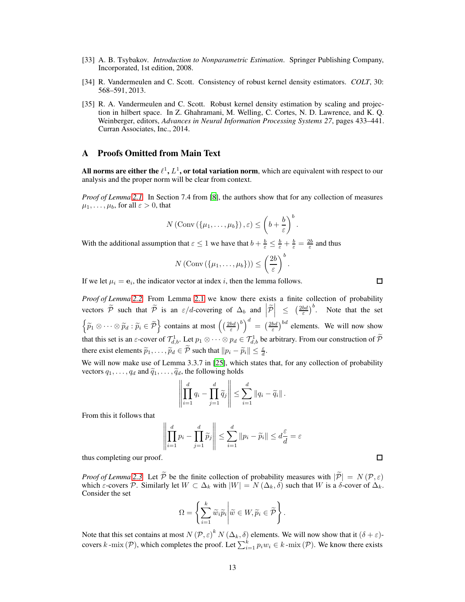- <span id="page-12-0"></span>[33] A. B. Tsybakov. *Introduction to Nonparametric Estimation*. Springer Publishing Company, Incorporated, 1st edition, 2008.
- <span id="page-12-1"></span>[34] R. Vandermeulen and C. Scott. Consistency of robust kernel density estimators. *COLT*, 30: 568–591, 2013.
- <span id="page-12-2"></span>[35] R. A. Vandermeulen and C. Scott. Robust kernel density estimation by scaling and projection in hilbert space. In Z. Ghahramani, M. Welling, C. Cortes, N. D. Lawrence, and K. Q. Weinberger, editors, *Advances in Neural Information Processing Systems 27*, pages 433–441. Curran Associates, Inc., 2014.

# A Proofs Omitted from Main Text

All norms are either the  $\ell^1, L^1,$  or total variation norm, which are equivalent with respect to our analysis and the proper norm will be clear from context.

*Proof of Lemma [2.1.](#page-4-0)* In Section 7.4 from [\[8\]](#page-10-4), the authors show that for any collection of measures  $\mu_1, \ldots, \mu_b$ , for all  $\varepsilon > 0$ , that

$$
N\left(\mathrm{Conv}\left(\left\{\mu_1,\ldots,\mu_b\right\}\right),\varepsilon\right)\leq \left(b+\frac{b}{\varepsilon}\right)^b.
$$

With the additional assumption that  $\varepsilon \leq 1$  we have that  $b + \frac{b}{\varepsilon} \leq \frac{b}{\varepsilon} + \frac{b}{\varepsilon} = \frac{2b}{\varepsilon}$  and thus

$$
N\left(\mathrm{Conv}\left(\{\mu_1,\ldots,\mu_b\}\right)\right)\leq \left(\frac{2b}{\varepsilon}\right)^b.
$$

If we let  $\mu_i = \mathbf{e}_i$ , the indicator vector at index i, then the lemma follows.

*Proof of Lemma [2.2.](#page-4-2)* From Lemma [2.1](#page-4-0) we know there exists a finite collection of probability vectors  $\tilde{P}$  such that  $\tilde{P}$  is an  $\varepsilon/d$ -covering of  $\Delta_b$  and  $\left|\tilde{P}\right|$  $\left( \frac{2bd}{\varepsilon} \right)^b$ . Note that the set  $\left\{ \widetilde{p}_1 \otimes \cdots \otimes \widetilde{p}_d : \widetilde{p}_i \in \widetilde{\mathcal{P}} \right\}$  contains at most  $\left( \left( \frac{2bd}{\varepsilon} \right)^b \right)^d = \left( \frac{2bd}{\varepsilon} \right)^{bd}$  elements. We will now show that this set is an  $\varepsilon$ -cover of  $\mathcal{T}_{d,b}^1$ . Let  $p_1 \otimes \cdots \otimes p_d \in \mathcal{T}_{d,b}^1$  be arbitrary. From our construction of  $\mathcal{P}$ there exist elements  $\widetilde{p}_1, \ldots, \widetilde{p}_d \in \widetilde{\mathcal{P}}$  such that  $||p_i - \widetilde{p}_i|| \leq \frac{\varepsilon}{d}$ .

We will now make use of Lemma 3.3.7 in [\[25\]](#page-11-13), which states that, for any collection of probability vectors  $q_1, \ldots, q_d$  and  $\tilde{q}_1, \ldots, \tilde{q}_d$ , the following holds

$$
\left\| \prod_{i=1}^d q_i - \prod_{j=1}^d \widetilde{q}_j \right\| \leq \sum_{i=1}^d \|q_i - \widetilde{q}_i\|.
$$

From this it follows that

$$
\left\| \prod_{i=1}^d p_i - \prod_{j=1}^d \widetilde{p}_j \right\| \le \sum_{i=1}^d \| p_i - \widetilde{p}_i \| \le d \frac{\varepsilon}{d} = \varepsilon
$$

thus completing our proof.

*Proof of Lemma* [2.3.](#page-4-1) Let  $\widetilde{\mathcal{P}}$  be the finite collection of probability measures with  $|\widetilde{\mathcal{P}}| = N(\mathcal{P}, \varepsilon)$ which  $\varepsilon$ -covers P. Similarly let  $W \subset \Delta_k$  with  $|W| = N(\Delta_k, \delta)$  such that W is a  $\delta$ -cover of  $\Delta_k$ . Consider the set

$$
\Omega = \left\{ \sum_{i=1}^k \widetilde{w}_i \widetilde{p}_i \middle| \widetilde{w} \in W, \widetilde{p}_i \in \widetilde{\mathcal{P}} \right\}.
$$

Note that this set contains at most  $N(\mathcal{P}, \varepsilon)^k N(\Delta_k, \delta)$  elements. We will now show that it  $(\delta + \varepsilon)$ covers k -mix (P), which completes the proof. Let  $\sum_{i=1}^{k} p_i w_i \in k$  -mix (P). We know there exists

 $\Box$ 

 $\Box$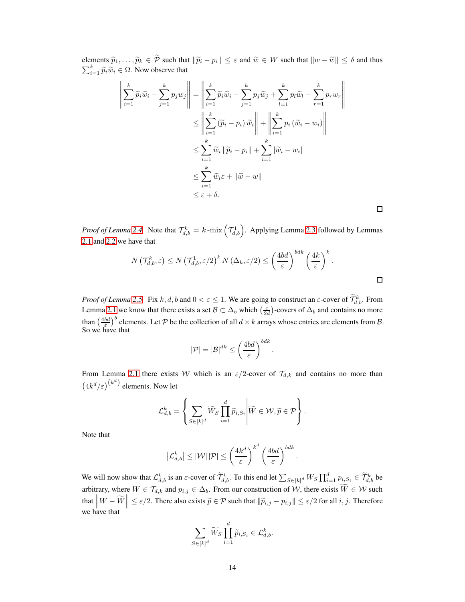elements  $\widetilde{p}_1, \ldots, \widetilde{p}_k \in \widetilde{\mathcal{P}}$  such that  $\|\widetilde{p}_i - p_i\| \leq \varepsilon$  and  $\widetilde{w} \in W$  such that  $\|w - \widetilde{w}\| \leq \delta$  and thus  $\sum_{i=1}^{k} \widetilde{p}_i \widetilde{w}_i \in \Omega$ . Now observe that

$$
\left\| \sum_{i=1}^{k} \widetilde{p}_{i} \widetilde{w}_{i} - \sum_{j=1}^{k} p_{j} w_{j} \right\| = \left\| \sum_{i=1}^{k} \widetilde{p}_{i} \widetilde{w}_{i} - \sum_{j=1}^{k} p_{j} \widetilde{w}_{j} + \sum_{l=1}^{k} p_{l} \widetilde{w}_{l} - \sum_{r=1}^{k} p_{r} w_{r} \right\|
$$
  
\n
$$
\leq \left\| \sum_{i=1}^{k} (\widetilde{p}_{i} - p_{i}) \widetilde{w}_{i} \right\| + \left\| \sum_{i=1}^{k} p_{i} (\widetilde{w}_{i} - w_{i}) \right\|
$$
  
\n
$$
\leq \sum_{i=1}^{k} \widetilde{w}_{i} \left\| \widetilde{p}_{i} - p_{i} \right\| + \sum_{i=1}^{k} |\widetilde{w}_{i} - w_{i}|
$$
  
\n
$$
\leq \sum_{i=1}^{k} \widetilde{w}_{i} \varepsilon + \left\| \widetilde{w} - w \right\|
$$
  
\n
$$
\leq \varepsilon + \delta.
$$

*Proof of Lemma* [2.4.](#page-4-3) Note that  $\mathcal{T}_{d,b}^k = k$  -mix  $(\mathcal{T}_{d,b}^1)$ . Applying Lemma [2.3](#page-4-1) followed by Lemmas [2.1](#page-4-0) and [2.2](#page-4-2) we have that

$$
N\left(\mathcal{T}_{d,b}^k, \varepsilon\right) \le N\left(\mathcal{T}_{d,b}^1, \varepsilon/2\right)^k N\left(\Delta_k, \varepsilon/2\right) \le \left(\frac{4bd}{\varepsilon}\right)^{bdk} \left(\frac{4k}{\varepsilon}\right)^k.
$$

*Proof of Lemma [2.5.](#page-5-4)* Fix k, d, b and  $0 < \varepsilon \le 1$ . We are going to construct an  $\varepsilon$ -cover of  $\mathcal{T}_{d,b}^k$ . From Lemma [2.1](#page-4-0) we know that there exists a set  $\mathcal{B} \subset \Delta_b$  which  $\left(\frac{\varepsilon}{2d}\right)$ -covers of  $\Delta_b$  and contains no more than  $\left(\frac{4bd}{\varepsilon}\right)^b$  elements. Let P be the collection of all  $d \times k$  arrays whose entries are elements from B.<br>So we have that

$$
|\mathcal{P}| = |\mathcal{B}|^{dk} \le \left(\frac{4bd}{\varepsilon}\right)^{bdk}.
$$

From Lemma [2.1](#page-4-0) there exists W which is an  $\varepsilon/2$ -cover of  $\mathcal{T}_{d,k}$  and contains no more than  $\left(4k^d/\varepsilon\right)^{\left(k^d\right)}$  elements. Now let

$$
\mathcal{L}_{d,b}^k = \left\{ \sum_{S \in [k]^d} \widetilde{W}_S \prod_{i=1}^d \widetilde{p}_{i,S_i} \middle| \widetilde{W} \in \mathcal{W}, \widetilde{p} \in \mathcal{P} \right\}.
$$

Note that

$$
\left|\mathcal{L}_{d,b}^{k}\right| \leq |\mathcal{W}||\mathcal{P}| \leq \left(\frac{4k^d}{\varepsilon}\right)^{k^d} \left(\frac{4bd}{\varepsilon}\right)^{bdk}.
$$

We will now show that  $\mathcal{L}_{d,b}^k$  is an  $\varepsilon$ -cover of  $\widetilde{\mathcal{T}}_{d,b}^k$ . To this end let  $\sum_{S \in [k]^d} W_S \prod_{i=1}^d p_{i,S_i} \in \widetilde{\mathcal{T}}_{d,b}^k$  be arbitrary, where  $W \in \mathcal{T}_{d,k}$  and  $p_{i,j} \in \Delta_b$ . From our construction of W, there exists  $W \in \mathcal{W}$  such that  $\left\|W - \widetilde{W}\right\| \leq \varepsilon/2$ . There also exists  $\widetilde{p} \in \mathcal{P}$  such that  $\|\widetilde{p}_{i,j} - p_{i,j}\| \leq \varepsilon/2$  for all  $i, j$ . Therefore we have that

$$
\sum_{S \in [k]^d} \widetilde{W}_S \prod_{i=1}^d \widetilde{p}_{i,S_i} \in \mathcal{L}_{d,b}^k.
$$

 $\Box$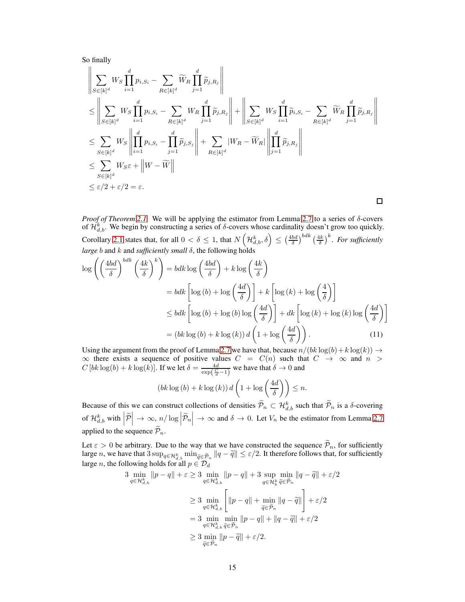So finally

$$
\left\| \sum_{S \in [k]^d} W_S \prod_{i=1}^d p_{i, S_i} - \sum_{R \in [k]^d} \widetilde{W}_R \prod_{j=1}^d \widetilde{p}_{j, R_j} \right\|
$$
\n
$$
\leq \left\| \sum_{S \in [k]^d} W_S \prod_{i=1}^d p_{i, S_i} - \sum_{R \in [k]^d} W_R \prod_{j=1}^d \widetilde{p}_{j, R_j} \right\| + \left\| \sum_{S \in [k]^d} W_S \prod_{i=1}^d \widetilde{p}_{i, S_i} - \sum_{R \in [k]^d} \widetilde{W}_R \prod_{j=1}^d \widetilde{p}_{j, R_j} \right\|
$$
\n
$$
\leq \sum_{S \in [k]^d} W_S \left\| \prod_{i=1}^d p_{i, S_i} - \prod_{j=1}^d \widetilde{p}_{j, S_j} \right\| + \sum_{R \in [k]^d} |W_R - \widetilde{W}_R| \left\| \prod_{j=1}^d \widetilde{p}_{j, R_j} \right\|
$$
\n
$$
\leq \sum_{S \in [k]^d} W_S \varepsilon + \left\| W - \widetilde{W} \right\|
$$
\n
$$
\leq \varepsilon/2 + \varepsilon/2 = \varepsilon.
$$

*Proof of Theorem [2.1.](#page-6-0)* We will be applying the estimator from Lemma [2.7](#page-5-0) to a series of δ-covers of  $\mathcal{H}_{d,b}^k$ . We begin by constructing a series of  $\delta$ -covers whose cardinality doesn't grow too quickly. Corollary [2.1](#page-5-3) states that, for all  $0 < \delta \leq 1$ , that  $N\left(\mathcal{H}^k_{d,b}, \delta\right) \leq \left(\frac{4bd}{\delta}\right)^{bdk} \left(\frac{4k}{\delta}\right)^k$ . For sufficiently *large b* and *k* and *sufficiently small* δ, the following holds

$$
\log\left(\left(\frac{4bd}{\delta}\right)^{bdk}\left(\frac{4k}{\delta}\right)^k\right) = bdk\log\left(\frac{4bd}{\delta}\right) + k\log\left(\frac{4k}{\delta}\right)
$$

$$
= bdk\left[\log\left(b\right) + \log\left(\frac{4d}{\delta}\right)\right] + k\left[\log\left(k\right) + \log\left(\frac{4}{\delta}\right)\right]
$$

$$
\leq bdk\left[\log\left(b\right) + \log\left(b\right)\log\left(\frac{4d}{\delta}\right)\right] + dk\left[\log\left(k\right) + \log\left(k\right)\log\left(\frac{4d}{\delta}\right)\right]
$$

$$
= (bk\log\left(b\right) + k\log\left(k\right))d\left(1 + \log\left(\frac{4d}{\delta}\right)\right). \tag{11}
$$

Using the argument from the proof of Lemma [2.7](#page-5-0) we have that, because  $n/(bk \log(b) + k \log(k)) \rightarrow$  $\infty$  there exists a sequence of positive values  $C = C(n)$  such that  $C \to \infty$  and  $n >$  $C [bk \log(b) + k \log(k)]$ . If we let  $\delta = \frac{4d}{\exp(\frac{C}{d}-1)}$  we have that  $\delta \to 0$  and

<span id="page-14-0"></span>
$$
(bk \log(b) + k \log(k)) d\left(1 + \log\left(\frac{4d}{\delta}\right)\right) \leq n.
$$

Because of this we can construct collections of densities  $\tilde{\mathcal{P}}_n \subset \mathcal{H}_{d,b}^k$  such that  $\tilde{\mathcal{P}}_n$  is a  $\delta$ -covering of  $\mathcal{H}_{d,b}^k$  with  $\left| \widetilde{\mathcal{P}} \right.$  $\big| \to \infty, n/\log \Big| \widetilde{\mathcal{P}}_n$  $\Big| \to \infty$  and  $\delta \to 0$ . Let  $V_n$  be the estimator from Lemma [2.7](#page-5-0) applied to the sequence  $\widetilde{\mathcal{P}}_n$ .

Let  $\varepsilon > 0$  be arbitrary. Due to the way that we have constructed the sequence  $\widetilde{\mathcal{P}}_n$ , for sufficiently large *n*, we have that  $3 \sup_{q \in \mathcal{H}_{d,b}^k} \min_{\widetilde{q} \in \widetilde{\mathcal{P}}_n} ||q - \widetilde{q}|| \leq \varepsilon/2$ . It therefore follows that, for sufficiently large *n*, the following holds for all  $p \in \mathcal{D}_d$ 

$$
3 \min_{q \in \mathcal{H}_{d,b}^k} \|p - q\| + \varepsilon \ge 3 \min_{q \in \mathcal{H}_{d,b}^k} \|p - q\| + 3 \sup_{q \in \mathcal{H}_b^k} \min_{\tilde{q} \in \tilde{\mathcal{P}}_n} \|q - \tilde{q}\| + \varepsilon/2
$$
  

$$
\ge 3 \min_{q \in \mathcal{H}_{d,b}^k} \left[ \|p - q\| + \min_{\tilde{q} \in \tilde{\mathcal{P}}_n} \|q - \tilde{q}\| \right] + \varepsilon/2
$$
  

$$
= 3 \min_{q \in \mathcal{H}_{d,b}^k} \min_{\tilde{q} \in \tilde{\mathcal{P}}_n} \|p - q\| + \|q - \tilde{q}\| + \varepsilon/2
$$
  

$$
\ge 3 \min_{\tilde{q} \in \tilde{\mathcal{P}}_n} \|p - \tilde{q}\| + \varepsilon/2.
$$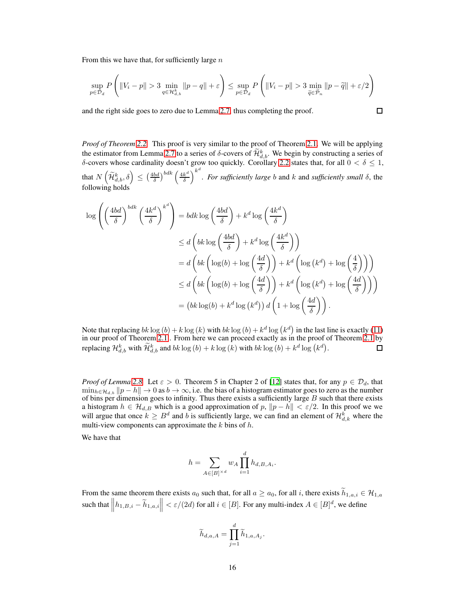From this we have that, for sufficiently large  $n$ 

$$
\sup_{p \in \mathcal{D}_d} P\left( \|V_i - p\| > 3 \min_{q \in \mathcal{H}_{d,b}^k} \|p - q\| + \varepsilon \right) \le \sup_{p \in \mathcal{D}_d} P\left( \|V_i - p\| > 3 \min_{\widetilde{q} \in \widetilde{\mathcal{P}}_n} \|p - \widetilde{q}\| + \varepsilon/2 \right)
$$

 $\Box$ 

and the right side goes to zero due to Lemma [2.7,](#page-5-0) thus completing the proof.

*Proof of Theorem [2.2.](#page-6-1)* This proof is very similar to the proof of Theorem [2.1.](#page-6-0) We will be applying the estimator from Lemma [2.7](#page-5-0) to a series of  $\delta$ -covers of  $\tilde{\mathcal{H}}_{d,b}^k$ . We begin by constructing a series of δ-covers whose cardinality doesn't grow too quickly. Corollary [2.2](#page-5-5) states that, for all  $0 < δ \le 1$ , that  $N\left(\widetilde{\mathcal{H}}_{d,b}^k, \delta\right) \leq \left(\frac{4bd}{\delta}\right)^{bdk} \left(\frac{4k^d}{\delta}\right)$ δ  $\setminus^{k^d}$ . *For sufficiently large* b and k and *sufficiently small* δ, the following holds

$$
\log \left( \left( \frac{4bd}{\delta} \right)^{bdk} \left( \frac{4k^d}{\delta} \right)^{k^d} \right) = bdk \log \left( \frac{4bd}{\delta} \right) + k^d \log \left( \frac{4k^d}{\delta} \right)
$$
  
\n
$$
\leq d \left( bk \log \left( \frac{4bd}{\delta} \right) + k^d \log \left( \frac{4k^d}{\delta} \right) \right)
$$
  
\n
$$
= d \left( bk \left( \log(b) + \log \left( \frac{4d}{\delta} \right) \right) + k^d \left( \log \left( k^d \right) + \log \left( \frac{4}{\delta} \right) \right) \right)
$$
  
\n
$$
\leq d \left( bk \left( \log(b) + \log \left( \frac{4d}{\delta} \right) \right) + k^d \left( \log \left( k^d \right) + \log \left( \frac{4d}{\delta} \right) \right) \right)
$$
  
\n
$$
= \left( bk \log(b) + k^d \log \left( k^d \right) \right) d \left( 1 + \log \left( \frac{4d}{\delta} \right) \right).
$$

Note that replacing  $bk \log(b) + k \log(k)$  with  $bk \log(b) + k^d \log(k^d)$  in the last line is exactly [\(11\)](#page-14-0) in our proof of Theorem [2.1](#page-6-0) . From here we can proceed exactly as in the proof of Theorem [2.1](#page-6-0) by replacing  $\mathcal{H}_{d,b}^k$  with  $\widetilde{\mathcal{H}}_{d,b}^k$  and  $bk\log(b) + k\log(k)$  with  $bk\log(b) + k^d\log(k^d)$ .  $\Box$ 

*Proof of Lemma* [2.8.](#page-6-2) Let  $\varepsilon > 0$ . Theorem 5 in Chapter 2 of [\[12\]](#page-10-0) states that, for any  $p \in \mathcal{D}_d$ , that  $\min_{h \in \mathcal{H}_{d,b}} \|p - h\| \to 0$  as  $b \to \infty$ , i.e. the bias of a histogram estimator goes to zero as the number of bins per dimension goes to infinity. Thus there exists a sufficiently large  $B$  such that there exists a histogram  $h \in \mathcal{H}_{d,B}$  which is a good approximation of  $p$ ,  $\|p - h\| < \varepsilon/2$ . In this proof we we will argue that once  $k \geq B^d$  and b is sufficiently large, we can find an element of  $\mathcal{H}_{d,k}^k$  where the multi-view components can approximate the  $k$  bins of  $h$ .

We have that

$$
h = \sum_{A \in [B]^{d}} w_A \prod_{i=1}^{d} h_{d,B,A_i}.
$$

From the same theorem there exists  $a_0$  such that, for all  $a \ge a_0$ , for all i, there exists  $\widetilde{h}_{1,a,i} \in \mathcal{H}_{1,a}$ such that  $||h_{1,B,i} - \widetilde{h}_{1,a,i}|| < \varepsilon/(2d)$  for all  $i \in [B]$ . For any multi-index  $A \in [B]^d$ , we define

$$
\widetilde{h}_{d,a,A} = \prod_{j=1}^d \widetilde{h}_{1,a,A_j}.
$$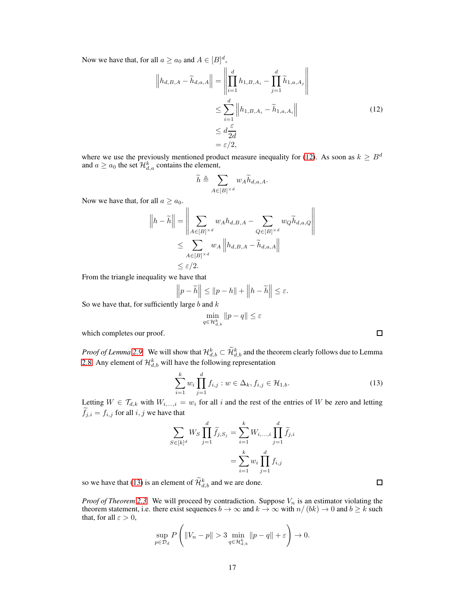Now we have that, for all  $a \ge a_0$  and  $A \in [B]^d$ ,

$$
\left\|h_{d,B,A} - \widetilde{h}_{d,a,A}\right\| = \left\|\prod_{i=1}^d h_{1,B,A_i} - \prod_{j=1}^d \widetilde{h}_{1,a,A_j}\right\|
$$
  

$$
\leq \sum_{i=1}^d \left\|h_{1,B,A_i} - \widetilde{h}_{1,a,A_i}\right\|
$$
  

$$
\leq d \frac{\varepsilon}{2d}
$$
  

$$
= \varepsilon/2,
$$
 (12)

where we use the previously mentioned product measure inequality for [\(12\)](#page-16-0). As soon as  $k \geq B^d$ and  $a \ge a_0$  the set  $\mathcal{H}_{d,a}^k$  contains the element,

<span id="page-16-0"></span>
$$
\widetilde{h}\triangleq\sum_{A\in[B]^{\times d}}w_A\widetilde{h}_{d,a,A}.
$$

Now we have that, for all  $a \ge a_0$ .

$$
||h - \widetilde{h}|| = \left\| \sum_{A \in [B]^{\times d}} w_A h_{d,B,A} - \sum_{Q \in [B]^{\times d}} w_Q \widetilde{h}_{d,a,Q} \right\|
$$
  

$$
\leq \sum_{A \in [B]^{\times d}} w_A ||h_{d,B,A} - \widetilde{h}_{d,a,A}||
$$
  

$$
\leq \varepsilon/2.
$$

From the triangle inequality we have that

$$
\left\| p - \widetilde{h} \right\| \le \| p - h \| + \left\| h - \widetilde{h} \right\| \le \varepsilon.
$$

So we have that, for sufficiently large  $b$  and  $k$ 

$$
\min_{q\in \mathcal{H}^k_{d,b}}\|p-q\|\leq \varepsilon
$$

which completes our proof.

*Proof of Lemma* [2.9.](#page-7-3) We will show that  $\mathcal{H}_{d,b}^k \subset \mathcal{H}_{d,b}^k$  and the theorem clearly follows due to Lemma [2.8.](#page-6-2) Any element of  $\mathcal{H}_{d,b}^k$  will have the following representation

$$
\sum_{i=1}^{k} w_i \prod_{j=1}^{d} f_{i,j} : w \in \Delta_k, f_{i,j} \in \mathcal{H}_{1,b}.
$$
 (13)

<span id="page-16-1"></span> $\Box$ 

 $\Box$ 

\

Letting  $W \in \mathcal{T}_{d,k}$  with  $W_{i,\dots,i} = w_i$  for all i and the rest of the entries of W be zero and letting  $\widetilde{f}_{j,i} = f_{i,j}$  for all  $i, j$  we have that

$$
\sum_{S \in [k]^d} W_S \prod_{j=1}^d \widetilde{f}_{j,S_j} = \sum_{i=1}^k W_{i,...,i} \prod_{j=1}^d \widetilde{f}_{j,i}
$$

$$
= \sum_{i=1}^k w_i \prod_{j=1}^d f_{i,j}
$$

so we have that [\(13\)](#page-16-1) is an element of  $\mathcal{H}_{d,b}^k$  and we are done.

 $\overline{1}$ 

*Proof of Theorem* [2.3.](#page-7-4) We will proceed by contradiction. Suppose  $V_n$  is an estimator violating the theorem statement, i.e. there exist sequences  $b \to \infty$  and  $k \to \infty$  with  $n/(bk) \to 0$  and  $b \ge k$  such that, for all  $\varepsilon > 0$ ,

$$
\sup_{p \in \mathcal{D}_d} P\left( \|V_n - p\| > 3 \min_{q \in \mathcal{H}_{d,b}^k} \|p - q\| + \varepsilon \right) \to 0.
$$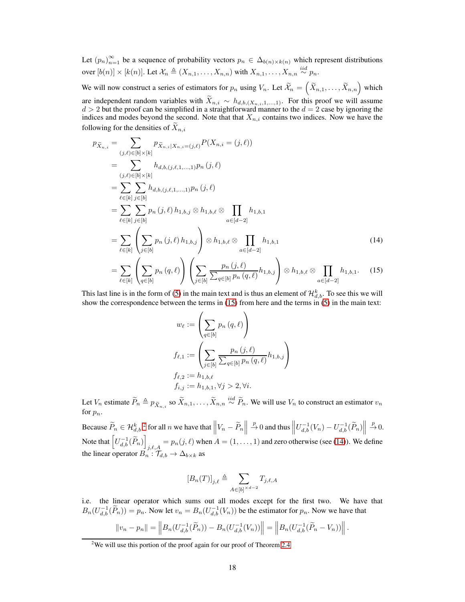Let  $(p_n)_{n=1}^{\infty}$  be a sequence of probability vectors  $p_n \in \Delta_{b(n)\times k(n)}$  which represent distributions over  $[b(n)] \times [k(n)]$ . Let  $\mathcal{X}_n \triangleq (X_{n,1}, \ldots, X_{n,n})$  with  $X_{n,1}, \ldots, X_{n,n} \stackrel{iid}{\sim} p_n$ .

We will now construct a series of estimators for  $p_n$  using  $V_n$ . Let  $\widetilde{\mathcal{X}}_n = \left(\widetilde{X}_{n,1}, \ldots, \widetilde{X}_{n,n}\right)$  which are independent random variables with  $X_{n,i} \sim h_{d,b,(X_{n,i},1,...,1)}$ . For this proof we will assume  $d > 2$  but the proof can be simplified in a straightforward manner to the  $d = 2$  case by ignoring the indices and modes beyond the second. Note that that  $X_{n,i}$  contains two indices. Now we have the following for the densities of  $X_{n,i}$ 

$$
p_{\tilde{X}_{n,i}} = \sum_{(j,\ell) \in [b] \times [k]} p_{\tilde{X}_{n,i}|X_{n,i} = (j,\ell)} P(X_{n,i} = (j,\ell))
$$
  
\n
$$
= \sum_{(j,\ell) \in [b] \times [k]} h_{d,b,(j,\ell,1,...,1)} p_n(j,\ell)
$$
  
\n
$$
= \sum_{\ell \in [k]} \sum_{j \in [b]} h_{d,b,(j,\ell,1,...,1)} p_n(j,\ell)
$$
  
\n
$$
= \sum_{\ell \in [k]} \sum_{j \in [b]} p_n(j,\ell) h_{1,b,j} \otimes h_{1,b,\ell} \otimes \prod_{a \in [d-2]} h_{1,b,1}
$$
  
\n
$$
= \sum_{\ell \in [k]} \left( \sum_{j \in [b]} p_n(j,\ell) h_{1,b,j} \right) \otimes h_{1,b,\ell} \otimes \prod_{a \in [d-2]} h_{1,b,1}
$$
  
\n
$$
= \sum_{\ell \in [k]} \left( \sum_{q \in [b]} p_n(q,\ell) \right) \left( \sum_{j \in [b]} \frac{p_n(j,\ell)}{\sum_{q \in [b]} p_n(q,\ell)} h_{1,b,j} \right) \otimes h_{1,b,\ell} \otimes \prod_{a \in [d-2]} h_{1,b,1}.
$$
 (15)

This last line is in the form of [\(5\)](#page-3-0) in the main text and is thus an element of  $\mathcal{H}_{d,b}^k$ . To see this we will show the correspondence between the terms in  $(15)$  from here and the terms in  $(5)$  in the main text:

<span id="page-17-2"></span><span id="page-17-0"></span>
$$
w_{\ell} := \left(\sum_{q \in [b]} p_n(q, \ell)\right)
$$
  

$$
f_{\ell,1} := \left(\sum_{j \in [b]} \frac{p_n(j, \ell)}{\sum_{q \in [b]} p_n(q, \ell)} h_{1,b,j}\right)
$$
  

$$
f_{\ell,2} := h_{1,b,\ell}
$$
  

$$
f_{i,j} := h_{1,b,1}, \forall j > 2, \forall i.
$$

Let  $V_n$  estimate  $\widetilde{P}_n \triangleq p_{\widetilde{X}_{n,i}}$  so  $\widetilde{X}_{n,1}, \ldots, \widetilde{X}_{n,n} \stackrel{iid}{\sim} \widetilde{P}_n$ . We will use  $V_n$  to construct an estimator  $v_n$ for  $p_n$ .

Because  $\widetilde{P}_n \in \mathcal{H}_{d,b}^k$   $\overset{?}{\sim}$  for all  $n$  we have that  $\left\| V_n - \widetilde{P}_n \right\|$  $\Rightarrow D$  and thus  $\left\| U_{d,b}^{-1}(V_n) - U_{d,b}^{-1}(\widetilde{P}_n) \right\|$  $\stackrel{p}{\rightarrow} 0.$ Note that  $\left[ U_{d,b}^{-1}(\widetilde{P}_n) \right]$  $j_{i,\ell,A} = p_n(j,\ell)$  when  $A = (1,\ldots,1)$  and zero otherwise (see [\(14\)](#page-17-2)). We define the linear operator  $B_n : \mathcal{T}_{d,b} \to \Delta_{b \times k}$  as

$$
[B_n(T)]_{j,\ell}\triangleq\sum_{A\in[b]^{\times d-2}}T_{j,\ell,A}
$$

i.e. the linear operator which sums out all modes except for the first two. We have that  $B_n(U_{d,b}^{-1}(\widetilde{P}_n)) = p_n$ . Now let  $v_n = B_n(U_{d,b}^{-1}(V_n))$  be the estimator for  $p_n$ . Now we have that

$$
||v_n - p_n|| = ||B_n(U_{d,b}^{-1}(\widetilde{P}_n)) - B_n(U_{d,b}^{-1}(V_n))|| = ||B_n(U_{d,b}^{-1}(\widetilde{P}_n - V_n))||.
$$

<span id="page-17-1"></span><sup>&</sup>lt;sup>2</sup>We will use this portion of the proof again for our proof of Theorem [2.4](#page-7-5)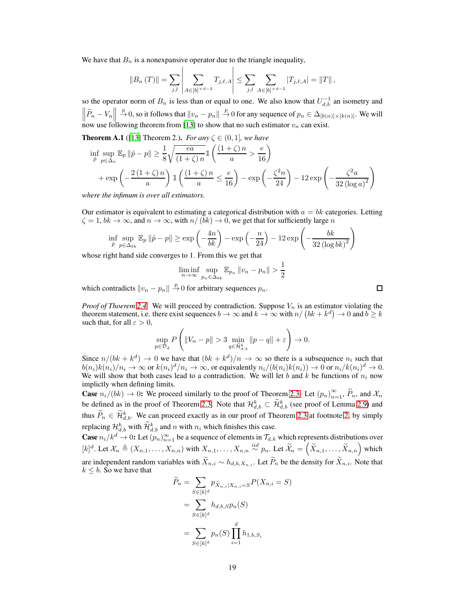We have that  $B_n$  is a nonexpansive operator due to the triangle inequality,

$$
||B_n(T)|| = \sum_{j,l} \left| \sum_{A \in [b]^{\times d-2}} T_{j,\ell,A} \right| \leq \sum_{j,l} \sum_{A \in [b]^{\times d-2}} |T_{j,\ell,A}| = ||T||,
$$

so the operator norm of  $B_n$  is less than or equal to one. We also know that  $U_{d,b}^{-1}$  an isometry and  $\left\| \widetilde{P}_n - V_n \right\|$  $p^p\to 0$ , so it follows that  $||v_n - p_n|| \stackrel{p}{\to} 0$  for any sequence of  $p_n \in \Delta_{[b(n)] \times [k(n)]}$ . We will now use following theorem from [\[13\]](#page-10-14) to show that no such estimator  $v_n$  can exist.

**Theorem A.1** ([\[13\]](#page-10-14) Theorem 2.). *For any*  $\zeta \in (0, 1]$ *, we have* 

$$
\inf_{\hat{p}} \sup_{p \in \Delta_a} \mathbb{E}_p \|\hat{p} - p\| \ge \frac{1}{8} \sqrt{\frac{ea}{(1+\zeta)n}} \mathbb{1} \left( \frac{(1+\zeta)n}{a} > \frac{e}{16} \right)
$$
  
+ 
$$
\exp\left(-\frac{2(1+\zeta)n}{a}\right) \mathbb{1} \left( \frac{(1+\zeta)n}{a} \le \frac{e}{16} \right) - \exp\left(-\frac{\zeta^2 n}{24}\right) - 12 \exp\left(-\frac{\zeta^2 a}{32(\log a)^2}\right)
$$

*where the infimum is over all estimators.*

Our estimator is equivalent to estimating a categorical distribution with  $a = bk$  categories. Letting  $\zeta = 1$ ,  $bk \to \infty$ , and  $n \to \infty$ , with  $n/(bk) \to 0$ , we get that for sufficiently large n

$$
\inf_{\hat{p}} \sup_{p \in \Delta_{bk}} \mathbb{E}_p \left\| \hat{p} - p \right\| \ge \exp\left( -\frac{4n}{bk} \right) - \exp\left( -\frac{n}{24} \right) - 12 \exp\left( -\frac{bk}{32 \left( \log bk \right)^2} \right)
$$

whose right hand side converges to 1. From this we get that

$$
\liminf_{n \to \infty} \sup_{p_n \in \Delta_{bk}} \mathbb{E}_{p_n} ||v_n - p_n|| > \frac{1}{2}
$$

which contradicts  $||v_n - p_n|| \stackrel{p}{\to} 0$  for arbitrary sequences  $p_n$ .

*Proof of Thoerem* [2.4.](#page-7-5) We will proceed by contradiction. Suppose  $V_n$  is an estimator violating the theorem statement, i.e. there exist sequences  $b \to \infty$  and  $k \to \infty$  with  $n/(bk + k^d) \to 0$  and  $b \geq k$ such that, for all  $\varepsilon > 0$ ,

$$
\sup_{p\in\mathcal{D}_d}P\left(\|V_n-p\|>3\min_{q\in\widetilde{\mathcal{H}}^k_{d,b}}\|p-q\|+\varepsilon\right)\to 0.
$$

Since  $n/(bk + k^d) \to 0$  we have that  $(bk + k^d)/n \to \infty$  so there is a subsequence  $n_i$  such that  $b(n_i)k(n_i)/n_i \to \infty$  or  $k(n_i)^d/n_i \to \infty$ , or equivalently  $n_i/(b(n_i)k(n_i)) \to 0$  or  $n_i/k(n_i)^d \to 0$ . We will show that both cases lead to a contradiction. We will let b and k be functions of  $n_i$  now implictly when defining limits.

**Case**  $n_i/(bk) \to 0$ : We proceed similarly to the proof of Theorem [2.3.](#page-7-4) Let  $(p_n)_{n=1}^{\infty}$ ,  $\widetilde{P}_n$ , and  $\mathcal{X}_n$ be defined as in the proof of Theorem [2.3.](#page-7-4) Note that  $\mathcal{H}_{d,b}^k \subset \mathcal{H}_{d,b}^k$  (see proof of Lemma [2.9\)](#page-7-3) and thus  $\tilde{P}_n \in \mathcal{H}_{d,b}^k$ . We can proceed exactly as in our proof of Theorem [2.3](#page-7-4) at footnote [2,](#page-17-1) by simply replacing  $\mathcal{H}_{d,b}^k$  with  $\widetilde{\mathcal{H}}_{d,b}^k$  and n with  $n_i$  which finishes this case.

**Case**  $n_i/k^d \to 0$ : Let  $(p_n)_{n=1}^{\infty}$  be a sequence of elements in  $\mathcal{T}_{d,k}$  which represents distributions over  $[k]^d$ . Let  $\mathcal{X}_n \triangleq (X_{n,1}, \ldots, X_{n,n})$  with  $X_{n,1}, \ldots, X_{n,n} \stackrel{iid}{\sim} p_n$ . Let  $\widetilde{\mathcal{X}}_n = \left(\widetilde{X}_{n,1}, \ldots, \widetilde{X}_{n,n}\right)$  which are independent random variables with  $\widetilde{X}_{n,i} \sim h_{d,b,X_{n,i}}$ . Let  $\widetilde{P}_n$  be the density for  $\widetilde{X}_{n,i}$ . Note that  $k \leq b$ . So we have that

$$
\widetilde{P}_n = \sum_{S \in [k]^d} p_{\widetilde{X}_{n,i}|X_{n,i}=S} P(X_{n,i}=S)
$$

$$
= \sum_{S \in [k]^d} h_{d,b,S} p_n(S)
$$

$$
= \sum_{S \in [k]^d} p_n(S) \prod_{i=1}^d h_{1,b,S_i}
$$

 $\Box$